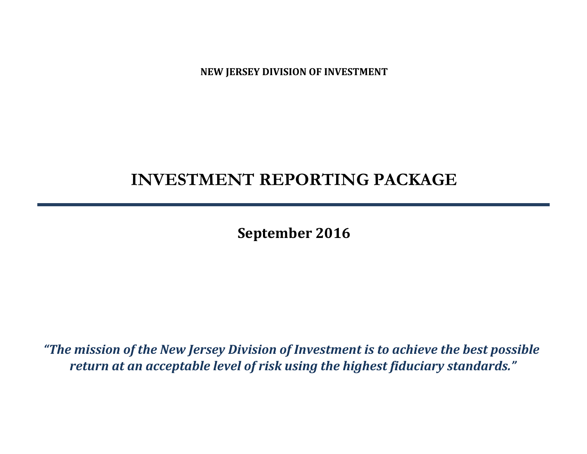**NEW JERSEY DIVISION OF INVESTMENT**

# **INVESTMENT REPORTING PACKAGE**

**September 2016**

*"The mission of the New Jersey Division of Investment is to achieve the best possible return at an acceptable level of risk using the highest fiduciary standards."*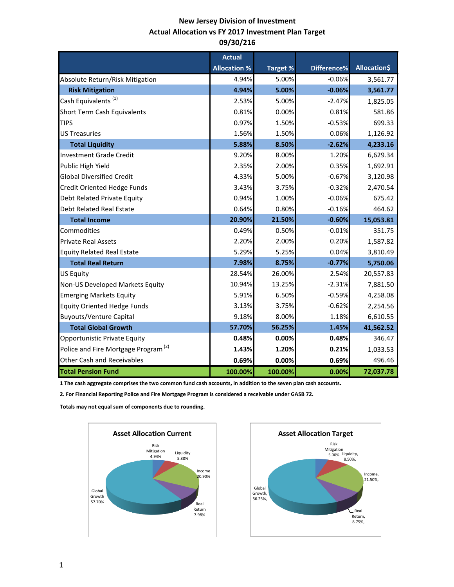# **New Jersey Division of Investment Actual Allocation vs FY 2017 Investment Plan Target 09/30/216**

|                                                 | <b>Actual</b>       |                 |             |                     |
|-------------------------------------------------|---------------------|-----------------|-------------|---------------------|
|                                                 | <b>Allocation %</b> | <b>Target %</b> | Difference% | <b>Allocation\$</b> |
| Absolute Return/Risk Mitigation                 | 4.94%               | 5.00%           | $-0.06%$    | 3,561.77            |
| <b>Risk Mitigation</b>                          | 4.94%               | 5.00%           | $-0.06%$    | 3,561.77            |
| Cash Equivalents <sup>(1)</sup>                 | 2.53%               | 5.00%           | $-2.47%$    | 1,825.05            |
| <b>Short Term Cash Equivalents</b>              | 0.81%               | 0.00%           | 0.81%       | 581.86              |
| <b>TIPS</b>                                     | 0.97%               | 1.50%           | $-0.53%$    | 699.33              |
| <b>US Treasuries</b>                            | 1.56%               | 1.50%           | 0.06%       | 1,126.92            |
| <b>Total Liquidity</b>                          | 5.88%               | 8.50%           | $-2.62%$    | 4,233.16            |
| <b>Investment Grade Credit</b>                  | 9.20%               | 8.00%           | 1.20%       | 6,629.34            |
| Public High Yield                               | 2.35%               | 2.00%           | 0.35%       | 1,692.91            |
| <b>Global Diversified Credit</b>                | 4.33%               | 5.00%           | $-0.67%$    | 3,120.98            |
| <b>Credit Oriented Hedge Funds</b>              | 3.43%               | 3.75%           | $-0.32%$    | 2,470.54            |
| Debt Related Private Equity                     | 0.94%               | 1.00%           | $-0.06%$    | 675.42              |
| <b>Debt Related Real Estate</b>                 | 0.64%               | 0.80%           | $-0.16%$    | 464.62              |
| <b>Total Income</b>                             | 20.90%              | 21.50%          | $-0.60%$    | 15,053.81           |
| Commodities                                     | 0.49%               | 0.50%           | $-0.01%$    | 351.75              |
| <b>Private Real Assets</b>                      | 2.20%               | 2.00%           | 0.20%       | 1,587.82            |
| <b>Equity Related Real Estate</b>               | 5.29%               | 5.25%           | 0.04%       | 3,810.49            |
| <b>Total Real Return</b>                        | 7.98%               | 8.75%           | $-0.77%$    | 5,750.06            |
| <b>US Equity</b>                                | 28.54%              | 26.00%          | 2.54%       | 20,557.83           |
| Non-US Developed Markets Equity                 | 10.94%              | 13.25%          | $-2.31%$    | 7,881.50            |
| <b>Emerging Markets Equity</b>                  | 5.91%               | 6.50%           | $-0.59%$    | 4,258.08            |
| <b>Equity Oriented Hedge Funds</b>              | 3.13%               | 3.75%           | $-0.62%$    | 2,254.56            |
| <b>Buyouts/Venture Capital</b>                  | 9.18%               | 8.00%           | 1.18%       | 6,610.55            |
| <b>Total Global Growth</b>                      | 57.70%              | 56.25%          | 1.45%       | 41,562.52           |
| Opportunistic Private Equity                    | 0.48%               | 0.00%           | 0.48%       | 346.47              |
| Police and Fire Mortgage Program <sup>(2)</sup> | 1.43%               | 1.20%           | 0.21%       | 1,033.53            |
| <b>Other Cash and Receivables</b>               | 0.69%               | 0.00%           | 0.69%       | 496.46              |
| <b>Total Pension Fund</b>                       | 100.00%             | 100.00%         | 0.00%       | 72,037.78           |

**1 The cash aggregate comprises the two common fund cash accounts, in addition to the seven plan cash accounts.** 

**2. For Financial Reporting Police and Fire Mortgage Program is considered a receivable under GASB 72.**

**Totals may not equal sum of components due to rounding.** 



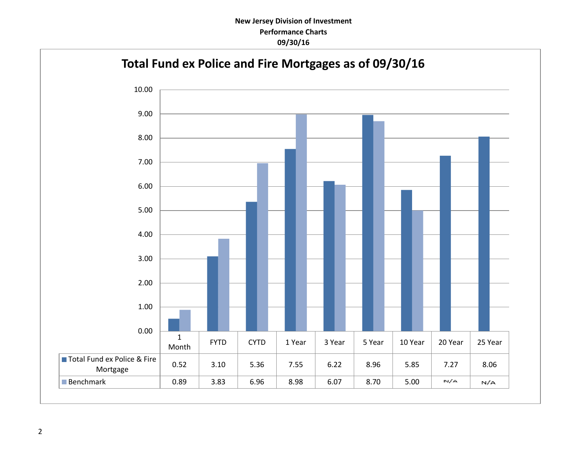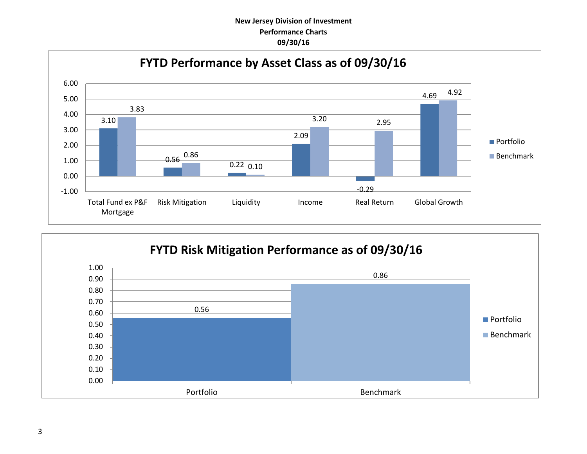# **New Jersey Division of Investment Performance Charts 09/30/16**



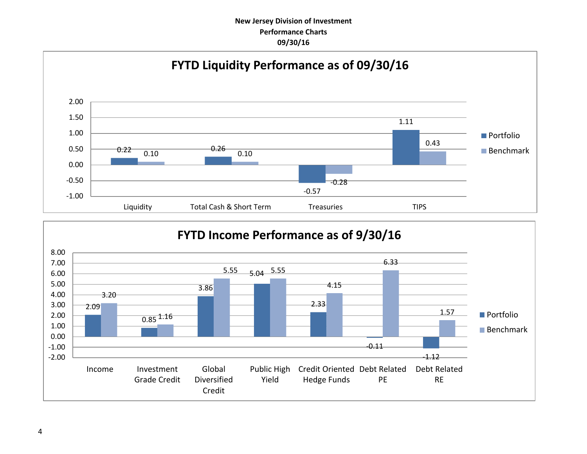# **New Jersey Division of Investment Performance Charts 09/30/16**



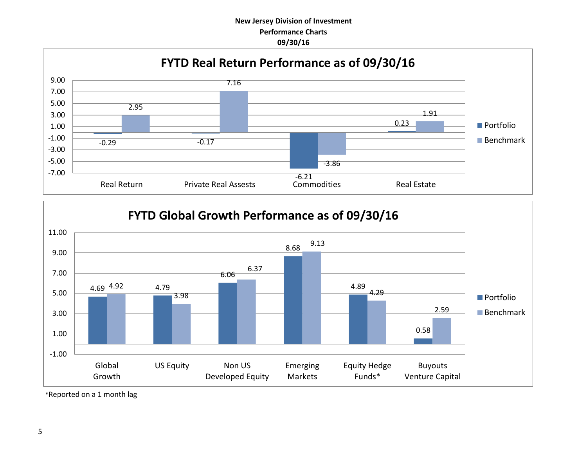# **New Jersey Division of Investment Performance Charts 09/30/16**





\*Reported on a 1 month lag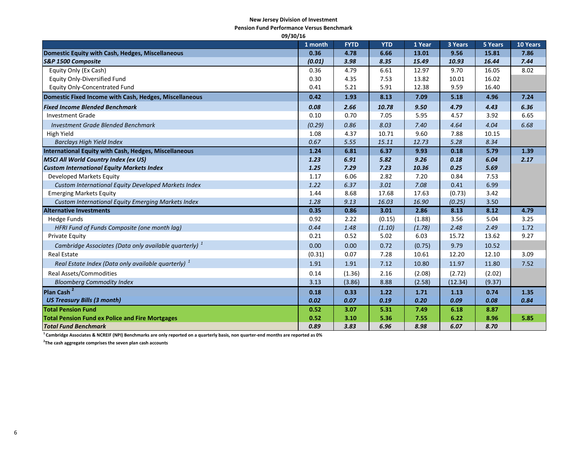#### **New Jersey Division of Investment**

**Pension Fund Performance Versus Benchmark**

| 09/30/16                                                          |         |             |            |        |         |         |          |
|-------------------------------------------------------------------|---------|-------------|------------|--------|---------|---------|----------|
|                                                                   | 1 month | <b>FYTD</b> | <b>YTD</b> | 1 Year | 3 Years | 5 Years | 10 Years |
| <b>Domestic Equity with Cash, Hedges, Miscellaneous</b>           | 0.36    | 4.78        | 6.66       | 13.01  | 9.56    | 15.81   | 7.86     |
| S&P 1500 Composite                                                | (0.01)  | 3.98        | 8.35       | 15.49  | 10.93   | 16.44   | 7.44     |
| Equity Only (Ex Cash)                                             | 0.36    | 4.79        | 6.61       | 12.97  | 9.70    | 16.05   | 8.02     |
| <b>Equity Only-Diversified Fund</b>                               | 0.30    | 4.35        | 7.53       | 13.82  | 10.01   | 16.02   |          |
| <b>Equity Only-Concentrated Fund</b>                              | 0.41    | 5.21        | 5.91       | 12.38  | 9.59    | 16.40   |          |
| Domestic Fixed Income with Cash, Hedges, Miscellaneous            | 0.42    | 1.93        | 8.13       | 7.09   | 5.18    | 4.96    | 7.24     |
| <b>Fixed Income Blended Benchmark</b>                             | 0.08    | 2.66        | 10.78      | 9.50   | 4.79    | 4.43    | 6.36     |
| Investment Grade                                                  | 0.10    | 0.70        | 7.05       | 5.95   | 4.57    | 3.92    | 6.65     |
| <b>Investment Grade Blended Benchmark</b>                         | (0.29)  | 0.86        | 8.03       | 7.40   | 4.64    | 4.04    | 6.68     |
| High Yield                                                        | 1.08    | 4.37        | 10.71      | 9.60   | 7.88    | 10.15   |          |
| <b>Barclays High Yield Index</b>                                  | 0.67    | 5.55        | 15.11      | 12.73  | 5.28    | 8.34    |          |
| International Equity with Cash, Hedges, Miscellaneous             | 1.24    | 6.81        | 6.37       | 9.93   | 0.18    | 5.79    | 1.39     |
| <b>MSCI All World Country Index (ex US)</b>                       | 1.23    | 6.91        | 5.82       | 9.26   | 0.18    | 6.04    | 2.17     |
| <b>Custom International Equity Markets Index</b>                  | 1.25    | 7.29        | 7.23       | 10.36  | 0.25    | 5.69    |          |
| Developed Markets Equity                                          | 1.17    | 6.06        | 2.82       | 7.20   | 0.84    | 7.53    |          |
| Custom International Equity Developed Markets Index               | 1.22    | 6.37        | 3.01       | 7.08   | 0.41    | 6.99    |          |
| <b>Emerging Markets Equity</b>                                    | 1.44    | 8.68        | 17.68      | 17.63  | (0.73)  | 3.42    |          |
| Custom International Equity Emerging Markets Index                | 1.28    | 9.13        | 16.03      | 16.90  | (0.25)  | 3.50    |          |
| <b>Alternative Investments</b>                                    | 0.35    | 0.86        | 3.01       | 2.86   | 8.13    | 8.12    | 4.79     |
| <b>Hedge Funds</b>                                                | 0.92    | 2.22        | (0.15)     | (1.88) | 3.56    | 5.04    | 3.25     |
| HFRI Fund of Funds Composite (one month lag)                      | 0.44    | 1.48        | (1.10)     | (1.78) | 2.48    | 2.49    | 1.72     |
| <b>Private Equity</b>                                             | 0.21    | 0.52        | 5.02       | 6.03   | 15.72   | 13.62   | 9.27     |
| Cambridge Associates (Data only available quarterly) <sup>1</sup> | 0.00    | 0.00        | 0.72       | (0.75) | 9.79    | 10.52   |          |
| <b>Real Estate</b>                                                | (0.31)  | 0.07        | 7.28       | 10.61  | 12.20   | 12.10   | 3.09     |
| Real Estate Index (Data only available quarterly) <sup>1</sup>    | 1.91    | 1.91        | 7.12       | 10.80  | 11.97   | 11.80   | 7.52     |
| <b>Real Assets/Commodities</b>                                    | 0.14    | (1.36)      | 2.16       | (2.08) | (2.72)  | (2.02)  |          |
| <b>Bloomberg Commodity Index</b>                                  | 3.13    | (3.86)      | 8.88       | (2.58) | (12.34) | (9.37)  |          |
| Plan Cash <sup>2</sup>                                            | 0.18    | 0.33        | 1.22       | 1.71   | 1.13    | 0.74    | 1.35     |
| <b>US Treasury Bills (3 month)</b>                                | 0.02    | 0.07        | 0.19       | 0.20   | 0.09    | 0.08    | 0.84     |
| <b>Total Pension Fund</b>                                         | 0.52    | 3.07        | 5.31       | 7.49   | 6.18    | 8.87    |          |
| <b>Total Pension Fund ex Police and Fire Mortgages</b>            | 0.52    | 3.10        | 5.36       | 7.55   | 6.22    | 8.96    | 5.85     |
| <b>Total Fund Benchmark</b>                                       | 0.89    | 3.83        | 6.96       | 8.98   | 6.07    | 8.70    |          |

**<sup>1</sup>Cambridge Associates & NCREIF (NPI) Benchmarks are only reported on a quarterly basis, non quarter-end months are reported as 0%**

**2 The cash aggregate comprises the seven plan cash accounts**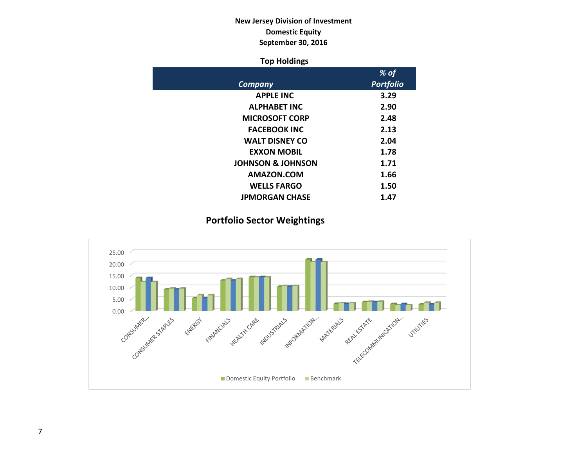# **New Jersey Division of Investment Domestic Equity September 30, 2016**

# **Top Holdings**

|                              | % of             |
|------------------------------|------------------|
| Company                      | <b>Portfolio</b> |
| <b>APPLE INC</b>             | 3.29             |
| <b>ALPHABET INC</b>          | 2.90             |
| <b>MICROSOFT CORP</b>        | 2.48             |
| <b>FACEBOOK INC</b>          | 2.13             |
| <b>WALT DISNEY CO</b>        | 2.04             |
| <b>EXXON MOBIL</b>           | 1.78             |
| <b>JOHNSON &amp; JOHNSON</b> | 1.71             |
| AMAZON.COM                   | 1.66             |
| <b>WELLS FARGO</b>           | 1.50             |
| <b>JPMORGAN CHASE</b>        | 1.47             |

# **Portfolio Sector Weightings**

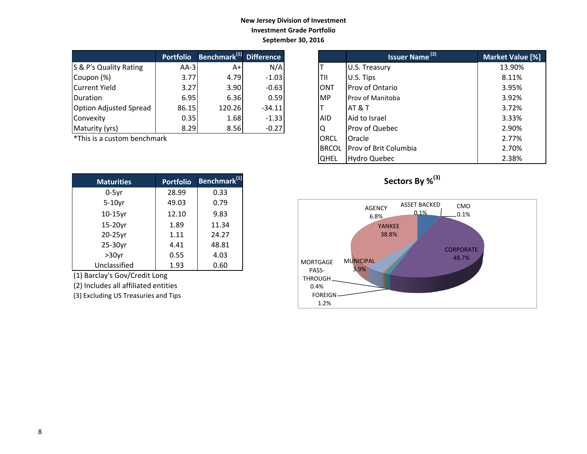# **New Jersey Division of Investment Investment Grade Portfolio September 30, 2016**

|                               | <b>Portfolio</b> | Benchmark <sup>(1)</sup> Difference |          |            | Issuer Name <sup>(2)</sup> | <b>Market Valu</b> |
|-------------------------------|------------------|-------------------------------------|----------|------------|----------------------------|--------------------|
| S & P's Quality Rating        | $AA-3I$          | A+                                  | N/A      |            | U.S. Treasury              | 13.90%             |
| Coupon (%)                    | 3.77             | 4.79                                | $-1.03$  | ITII       | U.S. Tips                  | 8.11%              |
| Current Yield                 | 3.27             | 3.90                                | $-0.63$  | IONT       | Prov of Ontario            | 3.95%              |
| <b>IDuration</b>              | 6.95             | 6.36                                | 0.59     | <b>IMP</b> | <b>Prov of Manitoba</b>    | 3.92%              |
| <b>Option Adjusted Spread</b> | 86.15            | 120.26                              | $-34.11$ |            | IAT & T                    | 3.72%              |
| Convexity                     | 0.35             | 1.68                                | $-1.33$  | <b>AID</b> | Aid to Israel              | 3.33%              |
| Maturity (yrs)                | 8.29             | 8.56                                | $-0.27$  | ΙQ         | Prov of Quebec             | 2.90%              |

\*This is a custom benchmark

| <b>Maturities</b> | <b>Portfolio</b> | Benchmark <sup>(1)</sup> |
|-------------------|------------------|--------------------------|
| $0-5$ yr          | 28.99            | 0.33                     |
| $5-10$ yr         | 49.03            | 0.79                     |
| $10-15$ yr        | 12.10            | 9.83                     |
| 15-20yr           | 1.89             | 11.34                    |
| 20-25yr           | 1.11             | 24.27                    |
| 25-30yr           | 4.41             | 48.81                    |
| $>30$ yr          | 0.55             | 4.03                     |
| Unclassified      | 1.93             | 0.60                     |

(1) Barclay's Gov/Credit Long

(2) Includes all affiliated entities

(3) Excluding US Treasuries and Tips

| <b>Portfolio</b> | Benchmark <sup>(1)</sup> Difference |          |              | <b>Issuer Name<sup>(2)</sup></b> | Market Value [%] |
|------------------|-------------------------------------|----------|--------------|----------------------------------|------------------|
| $AA-3$           | $A+$                                | N/A      |              | U.S. Treasury                    | 13.90%           |
| 3.77             | 4.79                                | $-1.03$  | TII          | U.S. Tips                        | 8.11%            |
| 3.27             | 3.90                                | $-0.63$  | <b>ONT</b>   | Prov of Ontario                  | 3.95%            |
| 6.95             | 6.36                                | 0.59     | <b>MP</b>    | Prov of Manitoba                 | 3.92%            |
| 86.15            | 120.26                              | $-34.11$ |              | AT & T                           | 3.72%            |
| 0.35             | 1.68                                | $-1.33$  | <b>AID</b>   | Aid to Israel                    | 3.33%            |
| 8.29             | 8.56                                | $-0.27$  | ΙQ           | Prov of Quebec                   | 2.90%            |
| ۰k               |                                     |          | ORCL         | Oracle                           | 2.77%            |
|                  |                                     |          | <b>BRCOL</b> | Prov of Brit Columbia            | 2.70%            |
|                  |                                     |          | <b>QHEL</b>  | <b>Hydro Quebec</b>              | 2.38%            |



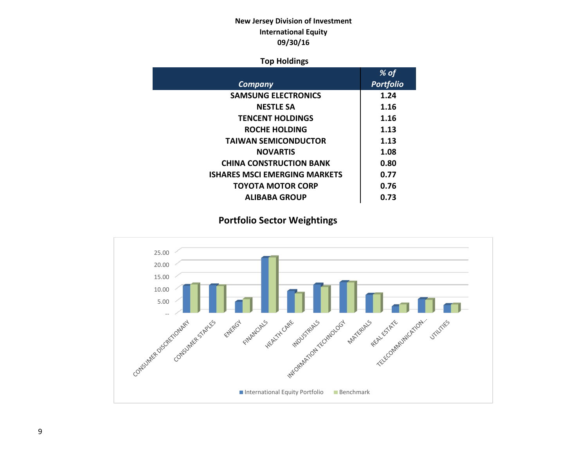# **New Jersey Division of Investment International Equity 09/30/16**

# **Top Holdings**

|                                     | % of             |
|-------------------------------------|------------------|
| Company                             | <b>Portfolio</b> |
| <b>SAMSUNG ELECTRONICS</b>          | 1.24             |
| <b>NESTLE SA</b>                    | 1.16             |
| <b>TENCENT HOLDINGS</b>             | 1.16             |
| ROCHE HOLDING                       | 1.13             |
| <b>TAIWAN SEMICONDUCTOR</b>         | 1.13             |
| <b>NOVARTIS</b>                     | 1.08             |
| <b>CHINA CONSTRUCTION BANK</b>      | 0.80             |
| <b>ISHARES MSCLEMERGING MARKETS</b> | 0.77             |
| TOYOTA MOTOR CORP                   | 0.76             |
| <b>ALIBABA GROUP</b>                | 0.73             |

# **Portfolio Sector Weightings**

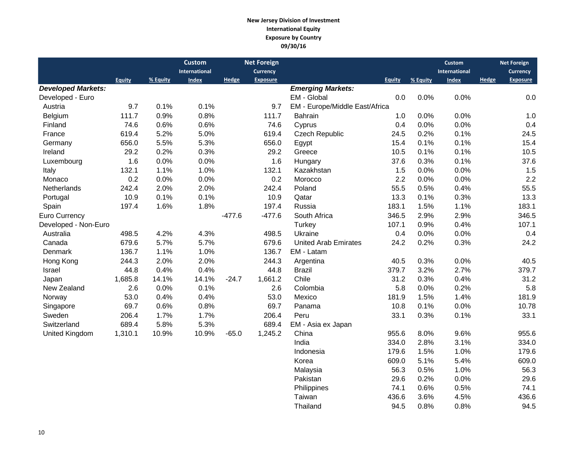### **New Jersey Division of Investment International Equity Exposure by Country 09/30/16**

|                           |               |          | <b>Custom</b> |          | <b>Net Foreign</b> |                                |               |          | Custom       |                 | <b>Net Foreign</b> |
|---------------------------|---------------|----------|---------------|----------|--------------------|--------------------------------|---------------|----------|--------------|-----------------|--------------------|
|                           |               |          | International |          | <b>Currency</b>    |                                | International |          |              | <b>Currency</b> |                    |
|                           | <b>Equity</b> | % Equity | <b>Index</b>  | Hedge    | <b>Exposure</b>    |                                | <b>Equity</b> | % Equity | <b>Index</b> | Hedge           | <b>Exposure</b>    |
| <b>Developed Markets:</b> |               |          |               |          |                    | <b>Emerging Markets:</b>       |               |          |              |                 |                    |
| Developed - Euro          |               |          |               |          |                    | EM - Global                    | 0.0           | 0.0%     | 0.0%         |                 | 0.0                |
| Austria                   | 9.7           | 0.1%     | 0.1%          |          | 9.7                | EM - Europe/Middle East/Africa |               |          |              |                 |                    |
| Belgium                   | 111.7         | 0.9%     | 0.8%          |          | 111.7              | <b>Bahrain</b>                 | 1.0           | 0.0%     | 0.0%         |                 | 1.0                |
| Finland                   | 74.6          | 0.6%     | 0.6%          |          | 74.6               | Cyprus                         | 0.4           | 0.0%     | 0.0%         |                 | 0.4                |
| France                    | 619.4         | 5.2%     | 5.0%          |          | 619.4              | <b>Czech Republic</b>          | 24.5          | 0.2%     | 0.1%         |                 | 24.5               |
| Germany                   | 656.0         | 5.5%     | 5.3%          |          | 656.0              | Egypt                          | 15.4          | 0.1%     | 0.1%         |                 | 15.4               |
| Ireland                   | 29.2          | 0.2%     | 0.3%          |          | 29.2               | Greece                         | 10.5          | 0.1%     | 0.1%         |                 | 10.5               |
| Luxembourg                | 1.6           | 0.0%     | 0.0%          |          | 1.6                | Hungary                        | 37.6          | 0.3%     | 0.1%         |                 | 37.6               |
| Italy                     | 132.1         | 1.1%     | 1.0%          |          | 132.1              | Kazakhstan                     | 1.5           | 0.0%     | 0.0%         |                 | 1.5                |
| Monaco                    | 0.2           | 0.0%     | 0.0%          |          | 0.2                | Morocco                        | 2.2           | 0.0%     | 0.0%         |                 | 2.2                |
| Netherlands               | 242.4         | 2.0%     | 2.0%          |          | 242.4              | Poland                         | 55.5          | 0.5%     | 0.4%         |                 | 55.5               |
| Portugal                  | 10.9          | 0.1%     | 0.1%          |          | 10.9               | Qatar                          | 13.3          | 0.1%     | 0.3%         |                 | 13.3               |
| Spain                     | 197.4         | 1.6%     | 1.8%          |          | 197.4              | Russia                         | 183.1         | 1.5%     | 1.1%         |                 | 183.1              |
| Euro Currency             |               |          |               | $-477.6$ | $-477.6$           | South Africa                   | 346.5         | 2.9%     | 2.9%         |                 | 346.5              |
| Developed - Non-Euro      |               |          |               |          |                    | Turkey                         | 107.1         | 0.9%     | 0.4%         |                 | 107.1              |
| Australia                 | 498.5         | 4.2%     | 4.3%          |          | 498.5              | Ukraine                        | 0.4           | 0.0%     | 0.0%         |                 | 0.4                |
| Canada                    | 679.6         | 5.7%     | 5.7%          |          | 679.6              | <b>United Arab Emirates</b>    | 24.2          | 0.2%     | 0.3%         |                 | 24.2               |
| Denmark                   | 136.7         | 1.1%     | 1.0%          |          | 136.7              | EM - Latam                     |               |          |              |                 |                    |
| Hong Kong                 | 244.3         | 2.0%     | 2.0%          |          | 244.3              | Argentina                      | 40.5          | 0.3%     | 0.0%         |                 | 40.5               |
| Israel                    | 44.8          | 0.4%     | 0.4%          |          | 44.8               | <b>Brazil</b>                  | 379.7         | 3.2%     | 2.7%         |                 | 379.7              |
| Japan                     | 1,685.8       | 14.1%    | 14.1%         | $-24.7$  | 1,661.2            | Chile                          | 31.2          | 0.3%     | 0.4%         |                 | 31.2               |
| New Zealand               | 2.6           | 0.0%     | 0.1%          |          | 2.6                | Colombia                       | 5.8           | 0.0%     | 0.2%         |                 | 5.8                |
| Norway                    | 53.0          | 0.4%     | 0.4%          |          | 53.0               | Mexico                         | 181.9         | 1.5%     | 1.4%         |                 | 181.9              |
| Singapore                 | 69.7          | 0.6%     | 0.8%          |          | 69.7               | Panama                         | 10.8          | 0.1%     | 0.0%         |                 | 10.78              |
| Sweden                    | 206.4         | 1.7%     | 1.7%          |          | 206.4              | Peru                           | 33.1          | 0.3%     | 0.1%         |                 | 33.1               |
| Switzerland               | 689.4         | 5.8%     | 5.3%          |          | 689.4              | EM - Asia ex Japan             |               |          |              |                 |                    |
| <b>United Kingdom</b>     | 1,310.1       | 10.9%    | 10.9%         | $-65.0$  | 1,245.2            | China                          | 955.6         | 8.0%     | 9.6%         |                 | 955.6              |
|                           |               |          |               |          |                    | India                          | 334.0         | 2.8%     | 3.1%         |                 | 334.0              |
|                           |               |          |               |          |                    | Indonesia                      | 179.6         | 1.5%     | 1.0%         |                 | 179.6              |
|                           |               |          |               |          |                    | Korea                          | 609.0         | 5.1%     | 5.4%         |                 | 609.0              |
|                           |               |          |               |          |                    | Malaysia                       | 56.3          | 0.5%     | 1.0%         |                 | 56.3               |
|                           |               |          |               |          |                    | Pakistan                       | 29.6          | 0.2%     | 0.0%         |                 | 29.6               |
|                           |               |          |               |          |                    | Philippines                    | 74.1          | 0.6%     | 0.5%         |                 | 74.1               |

Taiwan 136.6 3.6% 4.5% 436.6<br>Thailand 94.5 0.8% 0.8% 94.5

Thailand 94.5 0.8% 0.8% 94.5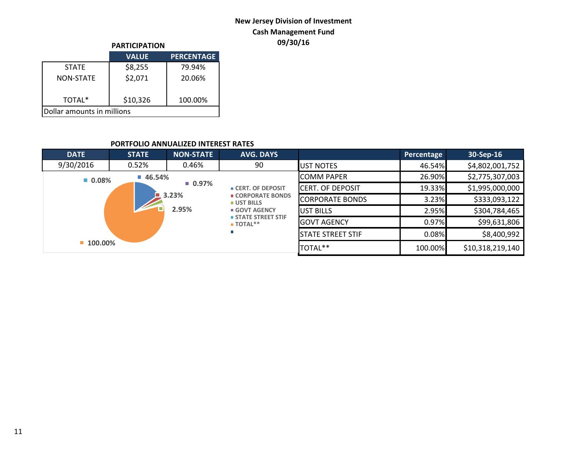# **New Jersey Division of Investment Cash Management Fund 09/30/16 PARTICIPATION**

|                            | <b>PARTICIPATION</b> |                   |  |  |  |  |
|----------------------------|----------------------|-------------------|--|--|--|--|
|                            | <b>VALUE</b>         | <b>PERCENTAGE</b> |  |  |  |  |
| <b>STATE</b>               | \$8,255              | 79.94%            |  |  |  |  |
| <b>NON-STATE</b>           | \$2,071              | 20.06%            |  |  |  |  |
| TOTAL*                     | \$10,326             | 100.00%           |  |  |  |  |
| Dollar amounts in millions |                      |                   |  |  |  |  |

### **PORTFOLIO ANNUALIZED INTEREST RATES**

| <b>DATE</b>          | <b>STATE</b>          | <b>NON-STATE</b>     | <b>AVG. DAYS</b>                                     |                          | Percentage | 30-Sep-16        |
|----------------------|-----------------------|----------------------|------------------------------------------------------|--------------------------|------------|------------------|
| 9/30/2016            | 0.52%                 | 0.46%                | 90                                                   | <b>IUST NOTES</b>        | 46.54%     | \$4,802,001,752  |
| $\blacksquare$ 0.08% | $\blacksquare$ 46.54% |                      |                                                      | <b>ICOMM PAPER</b>       | 26.90%     | \$2,775,307,003  |
|                      |                       | $\blacksquare$ 0.97% | <b>CERT. OF DEPOSIT</b>                              | <b>ICERT. OF DEPOSIT</b> | 19.33%     | \$1,995,000,000  |
|                      |                       | 3.23%                | ■ CORPORATE BONDS<br><b>UST BILLS</b><br>GOVT AGENCY | <b>CORPORATE BONDS</b>   | 3.23%      | \$333,093,122    |
|                      |                       | 2.95%                |                                                      | <b>JUST BILLS</b>        | 2.95%      | \$304,784,465    |
|                      |                       |                      | STATE STREET STIF<br>$\blacksquare$ TOTAL**          | <b>IGOVT AGENCY</b>      | 0.97%      | \$99,631,806     |
|                      |                       |                      |                                                      | <b>STATE STREET STIF</b> | 0.08%      | \$8,400,992      |
| $100.00\%$           |                       |                      |                                                      | TOTAL**                  | 100.00%    | \$10,318,219,140 |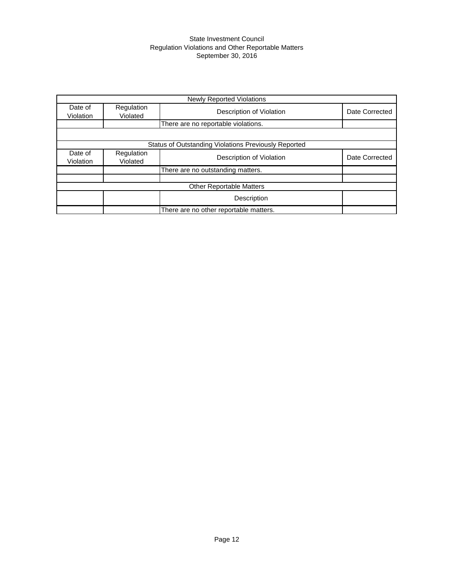#### State Investment Council Regulation Violations and Other Reportable Matters September 30, 2016

|                      |                                     | <b>Newly Reported Violations</b>                     |                |  |  |  |  |
|----------------------|-------------------------------------|------------------------------------------------------|----------------|--|--|--|--|
| Date of<br>Violation | Regulation<br>Violated              | Description of Violation                             | Date Corrected |  |  |  |  |
|                      | There are no reportable violations. |                                                      |                |  |  |  |  |
|                      |                                     |                                                      |                |  |  |  |  |
|                      |                                     | Status of Outstanding Violations Previously Reported |                |  |  |  |  |
| Date of<br>Violation | Regulation<br>Violated              | Description of Violation                             | Date Corrected |  |  |  |  |
|                      |                                     | There are no outstanding matters.                    |                |  |  |  |  |
|                      |                                     |                                                      |                |  |  |  |  |
|                      |                                     | <b>Other Reportable Matters</b>                      |                |  |  |  |  |
|                      |                                     | Description                                          |                |  |  |  |  |
|                      |                                     | There are no other reportable matters.               |                |  |  |  |  |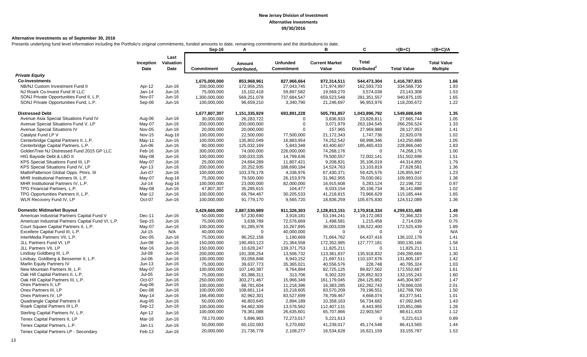#### **Alternative Investments as of September 30, 2016**

Presents underlying fund level information including the Portfolio's original commitments, funded amounts to date, remaining commitments and the distributions to date.

|                                                    |                   |                           | Sep-16            | Α                                  |                                      | в                              | С                                        | $=(B+C)$           | $=(B+C)/A$                            |
|----------------------------------------------------|-------------------|---------------------------|-------------------|------------------------------------|--------------------------------------|--------------------------------|------------------------------------------|--------------------|---------------------------------------|
|                                                    | Inception<br>Date | Last<br>Valuation<br>Date | <b>Commitment</b> | Amount<br>Contributed <sub>1</sub> | <b>Unfunded</b><br><b>Commitment</b> | <b>Current Market</b><br>Value | <b>Total</b><br>Distributed <sup>2</sup> | <b>Total Value</b> | <b>Total Value</b><br><b>Multiple</b> |
| <b>Private Equity</b>                              |                   |                           |                   |                                    |                                      |                                |                                          |                    |                                       |
| <b>Co-Investments</b>                              |                   |                           | 1,675,000,000     | 853,968,961                        | 827,966,664                          | 872,314,511                    | 544,473,304                              | 1,416,787,815      | 1.66                                  |
| NB/NJ Custom Investment Fund II                    | Apr-12            | Jun-16                    | 200,000,000       | 172,956,255                        | 27,043,745                           | 171,974,997                    | 162,593,733                              | 334,568,730        | 1.93                                  |
| NJ Roark Co-Invest Fund III LLC                    | Jan-14            | Jun-16                    | 75,000,000        | 15,102,418                         | 59,897,582                           | 19,569,270                     | 3,574,038                                | 23,143,308         | 1.53                                  |
| SONJ Private Opportunities Fund II, L.P.           | Nov-07            | Jun-16                    | 1,300,000,000     | 569,251,078                        | 737,684,547                          | 659,523,548                    | 281,351,557                              | 940,875,105        | 1.65                                  |
| SONJ Private Opportunities Fund, L.P.              | Sep-06            | Jun-16                    | 100,000,000       | 96,659,210                         | 3,340,790                            | 21,246,697                     | 96,953,976                               | 118,200,672        | 1.22                                  |
| <b>Distressed Debt</b>                             |                   |                           | 1,677,807,307     | 1,151,335,929                      | 693,891,228                          | 505,791,857                    | 1,043,896,792                            | 1,549,688,649      | 1.35                                  |
| Avenue Asia Special Situations Fund IV             | Aug-06            | Jun-16                    | 30,000,000        | 26,283,722                         | 0                                    | 3,836,933                      | 23,828,811                               | 27,665,744         | 1.05                                  |
| Avenue Special Situations Fund V, LP               | May-07            | Jun-16                    | 200,000,000       | 200,000,000                        | $\Omega$                             | 3,071,979                      | 263,184,545                              | 266,256,524        | 1.33                                  |
| Avenue Special Situations IV                       | Nov-05            | Jun-16                    | 20,000,000        | 20,000,000                         | $\Omega$                             | 157,965                        | 27,969,988                               | 28,127,953         | 1.41                                  |
| Catalyst Fund LP V                                 | <b>Nov-15</b>     | Aug-16                    | 100,000,000       | 22,500,000                         | 77,500,000                           | 21,172,343                     | 1,747,736                                | 22,920,078         | 1.02                                  |
| Centerbridge Capital Partners II, L.P.             | $May-11$          | Jun-16                    | 100,000,000       | 135,802,049                        | 16,883,954                           | 74,252,542                     | 68,998,346                               | 143,250,888        | 1.05                                  |
| Centerbridge Capital Partners, L.P.                | Jun-06            | Jun-16                    | 80,000,000        | 125,032,169                        | 5,843,348                            | 43,400,607                     | 185,465,433                              | 228,866,040        | 1.83                                  |
| GoldenTree NJ Distressed Fund 2015 GP LLC          | Feb-16            | Jun-16                    | 300,000,000       | 74,000,000                         | 226,000,000                          | 74,268,176                     | $\Omega$                                 | 74,268,176         | 1.00                                  |
| HIG Bayside Debt & LBO II                          | May-08            | Jun-16                    | 100,000,000       | 100,033,335                        | 14,799,636                           | 79,500,557                     | 72,002,141                               | 151,502,698        | 1.51                                  |
| KPS Special Situations Fund III, LP                | May-07            | Jun-16                    | 25,000,000        | 24,694,289                         | 11,807,421                           | 9,208,831                      | 35,106,019                               | 44,314,850         | 1.79                                  |
| KPS Special Situations Fund IV, LP                 | Apr-13            | Jun-16                    | 200,000,000       | 20,252,935                         | 188,690,184                          | 14,524,763                     | 13,103,819                               | 27,628,581         | 1.36                                  |
| MatlinPatterson Global Opps. Ptnrs. III            | <b>Jun-07</b>     | Jun-16                    | 100,000,000       | 103,378,178                        | 4,336,976                            | 67,430,371                     | 59,425,576                               | 126,855,947        | 1.23                                  |
| MHR Institutional Partners III, L.P.               | May-07            | Aug-16                    | 75,000,000        | 79,500,000                         | 26,153,979                           | 31,962,955                     | 78,030,061                               | 109,993,016        | 1.38                                  |
| MHR Institutional Partners IV, L.P.                | $Jul-14$          | Aug-16                    | 100,000,000       | 23,000,000                         | 82,000,000                           | 16,915,608                     | 5,283,124                                | 22,198,732         | 0.97                                  |
| TPG Financial Partners, L.P.                       | May-08            | Jun-16                    | 47,807,307        | 35,285,615                         | 104,477                              | 6,033,154                      | 30,108,734                               | 36,141,888         | 1.02                                  |
| TPG Opportunities Partners II, L.P.                | Mar-12            | Jun-16                    | 100,000,000       | 69,794,467                         | 30,205,533                           | 41,218,815                     | 73,966,629                               | 115,185,444        | 1.65                                  |
| WLR Recovery Fund IV, LP                           | Oct-07            | Jun-16                    | 100,000,000       | 91,779,170                         | 9,565,720                            | 18,836,259                     | 105,675,830                              | 124,512,089        | 1.36                                  |
| <b>Domestic Midmarket Buyout</b>                   |                   |                           | 3,429,660,000     | 2,887,530,989                      | 911,326,303                          | 2,128,813,151                  | 2,170,818,334                            | 4,299,631,485      | 1.49                                  |
| American Industrial Partners Capital Fund V        | Dec-11            | Jun-16                    | 50,000,000        | 57,230,690                         | 3,918,181                            | 53,194,241                     | 19,172,083                               | 72,366,323         | 1.26                                  |
| American Industrial Partners Capital Fund VI, L.P. | Sep-15            | Jun-16                    | 75,000,000        | 3,638,789                          | 72,576,669                           | 1,498,581                      | 1,215,458                                | 2,714,039          | 0.75                                  |
| Court Square Capital Partners II, L.P.             | May-07            | Jun-16                    | 100,000,000       | 91,285,978                         | 10,267,895                           | 36,003,039                     | 136,522,400                              | 172,525,439        | 1.89                                  |
| Excellere Capital Fund III, L.P.                   | Jul-15            | N/A                       | 40,000,000        | $\mathbf 0$                        | 40,000,000                           | $\mathbf 0$                    | $\mathbf 0$                              | $\mathbf 0$        | N/A                                   |
| InterMedia Partners VII, L.P.                      | $Dec-05$          | Jun-16                    | 75,000,000        | 96,252,158                         | 1,190,669                            | 71,664,762                     | 64,437,416                               | 136, 102, 178      | 1.41                                  |
| JLL Partners Fund VI, LP                           | Jun-08            | Jun-16                    | 150,000,000       | 190,493,123                        | 21,364,558                           | 172,352,985                    | 127,777,181                              | 300,130,166        | 1.58                                  |
| JLL Partners VII, LP                               | Mar-16            | Jun-16                    | 150,000,000       | 10,628,247                         | 139,371,753                          | 11,825,211                     | $\Omega$                                 | 11,825,211         | 1.11                                  |
| Lindsay Goldberg III, L.P.                         | $Jul-08$          | Jun-16                    | 200,000,000       | 191,306,254                        | 13,506,732                           | 113,361,837                    | 135,918,832                              | 249,280,669        | 1.30                                  |
| Lindsay, Goldberg & Bessemer II, L.P.              | $Jul-06$          | Jun-16                    | 100,000,000       | 93,056,848                         | 6,943,152                            | 21,697,511                     | 110,107,676                              | 131,805,187        | 1.42                                  |
| Marlin Equity Partners IV                          | $Jun-13$          | Jun-16                    | 75,000,000        | 39,637,773                         | 35,365,021                           | 40,556,576                     | 228,748                                  | 40,785,324         | 1.03                                  |
| New Mountain Partners III, L.P.                    | May-07            | Jun-16                    | 100,000,000       | 107,140,387                        | 9,764,894                            | 82,725,125                     | 89,827,562                               | 172,552,687        | 1.61                                  |
| Oak Hill Capital Partners II, L.P.                 | Jul-05            | Jun-16                    | 75,000,000        | 83,388,311                         | 313,706                              | 6,302,320                      | 126,852,923                              | 133, 155, 243      | 1.60                                  |
| Oak Hill Capital Partners III, L.P.                | Oct-07            | Jun-16                    | 250,000,000       | 303,271,467                        | 15,966,349                           | 161,179,045                    | 284,125,862                              | 445,304,907        | 1.47                                  |
| Onex Partners II, LP                               | Aug-06            | $Jun-16$                  | 100.000.000       | 88.781.604                         | 11.218.396                           | 16.383.285                     | 162,282,743                              | 178.666.028        | 2.01                                  |
| Onex Partners III, LP                              | Dec-08            | Jun-16                    | 100,000,000       | 108,661,114                        | 10,218,605                           | 83,570,209                     | 79,198,551                               | 162,768,760        | 1.50                                  |
| Onex Partners IV, LP                               | $May-14$          | Jun-16                    | 166,490,000       | 82,962,301                         | 83,527,699                           | 78,709,467                     | 4.668.074                                | 83,377,541         | 1.01                                  |
| Quadrangle Capital Partners II                     | Aug-05            | Jun-16                    | 50,000,000        | 46,803,645                         | 2,894,189                            | 10,358,163                     | 56,734,682                               | 67,092,845         | 1.43                                  |
| Roark Capital Partners III L.P.                    | Sep-12            | Jun-16                    | 100,000,000       | 94,462,309                         | 13,576,562                           | 112,407,131                    | 8,443,955                                | 120,851,086        | 1.28                                  |
| Sterling Capital Partners IV, L.P.                 | Apr-12            | Jun-16                    | 100,000,000       | 79,361,088                         | 26,635,601                           | 65,707,866                     | 22,903,567                               | 88,611,433         | 1.12                                  |
| Tenex Capital Partners II, LP                      | Mar-16            | Jun-16                    | 78,170,000        | 5,896,983                          | 72,273,017                           | 5,221,613                      | $\mathbf 0$                              | 5,221,613          | 0.89                                  |
| Tenex Capital Partners, L.P.                       | Jan-11            | Jun-16                    | 50,000,000        | 60,102,083                         | 5,270,692                            | 41,239,017                     | 45,174,548                               | 86,413,565         | 1.44                                  |
| Tenex Capital Partners LP - Secondary              | Feb-13            | Jun-16                    | 20,000,000        | 21,736,778                         | 2,108,277                            | 16,534,628                     | 16,621,159                               | 33, 155, 787       | 1.53                                  |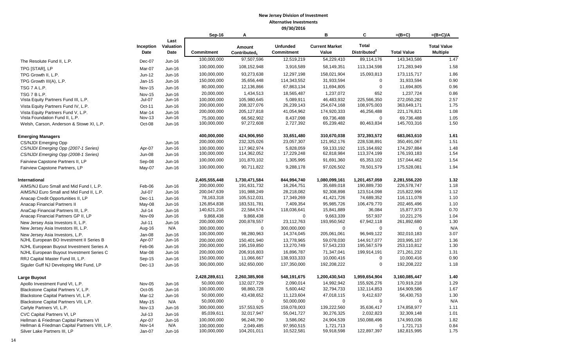|                                                |                         |                           | Sep-16                     | A                                  |                               | B                              | C                                        | $=(B+C)$                   | $=(B+C)/A$                            |
|------------------------------------------------|-------------------------|---------------------------|----------------------------|------------------------------------|-------------------------------|--------------------------------|------------------------------------------|----------------------------|---------------------------------------|
|                                                | Inception<br>Date       | Last<br>Valuation<br>Date | Commitment                 | Amount<br>Contributed <sub>1</sub> | <b>Unfunded</b><br>Commitment | <b>Current Market</b><br>Value | <b>Total</b><br>Distributed <sup>2</sup> | <b>Total Value</b>         | <b>Total Value</b><br><b>Multiple</b> |
| The Resolute Fund II, L.P.                     | Dec-07                  | Jun-16                    | 100,000,000                | 97,507,596                         | 12,519,219                    | 54,229,410                     | 89,114,176                               | 143,343,586                | 1.47                                  |
| TPG [STAR], LP                                 | Mar-07                  | Jun-16                    | 100,000,000                | 108,152,948                        | 3,916,589                     | 58,149,351                     | 113,134,598                              | 171,283,949                | 1.58                                  |
| TPG Growth II, L.P.                            | Jun-12                  | Jun-16                    | 100,000,000                | 93,273,638                         | 12,297,198                    | 158,021,904                    | 15,093,813                               | 173,115,717                | 1.86                                  |
| TPG Growth III(A), L.P.                        | Jan-15                  | Jun-16                    | 150,000,000                | 35,656,448                         | 114,343,552                   | 31,933,594                     | $\Omega$                                 | 31,933,594                 | 0.90                                  |
|                                                |                         |                           | 80,000,000                 | 12,136,866                         | 67,863,134                    | 11,694,805                     | $\pmb{0}$                                | 11,694,805                 | 0.96                                  |
| TSG 7 A L.P.<br>TSG 7 B L.P.                   | <b>Nov-15</b>           | Jun-16                    | 20,000,000                 | 1,434,513                          | 18,565,487                    | 1,237,072                      | 652                                      | 1,237,724                  | 0.86                                  |
| Vista Equity Partners Fund III, L.P.           | <b>Nov-15</b><br>Jul-07 | Jun-16<br>Jun-16          | 100,000,000                | 105,980,645                        | 5,089,911                     | 46,483,932                     | 225,566,350                              | 272,050,282                | 2.57                                  |
| Vista Equity Partners Fund IV, L.P.            | Oct-11                  | Jun-16                    | 200,000,000                | 208,327,076                        | 26,239,143                    | 254,674,168                    | 108,975,003                              | 363,649,171                | 1.75                                  |
| Vista Equity Partners Fund V, L.P.             | Mar-14                  | Jun-16                    | 200,000,000                | 205, 127, 818                      | 41,054,962                    | 174,920,333                    | 46,256,488                               | 221,176,821                | 1.08                                  |
| Vista Foundation Fund II, L.P.                 | <b>Nov-13</b>           | Jun-16                    | 75,000,000                 | 66,562,902                         | 8,437,098                     | 69,736,488                     | $\mathbf 0$                              | 69,736,488                 | 1.05                                  |
| Welsh, Carson, Anderson & Stowe XI, L.P.       | Oct-08                  | Jun-16                    | 100,000,000                | 97,272,608                         | 2,727,392                     | 65,239,482                     | 80,463,834                               | 145,703,316                | 1.50                                  |
| <b>Emerging Managers</b>                       |                         |                           | 400,000,000                | 424,906,950                        | 33,651,480                    | 310,670,038                    | 372,393,572                              | 683,063,610                | 1.61                                  |
| <b>CS/NJDI Emerging Opp</b>                    |                         | Jun-16                    | 200,000,000                | 232,325,026                        | 23,057,307                    | 121,952,176                    | 228,538,891                              | 350,491,067                | 1.51                                  |
| CS/NJDI Emerging Opp (2007-1 Series)           | Apr-07                  | Jun-16                    | 100,000,000                | 117,962,974                        | 5,828,059                     | 59, 133, 192                   | 115,164,692                              | 174,297,884                | 1.48                                  |
| CS/NJDI Emerging Opp (2008-1 Series)           | <b>Jun-08</b>           | Jun-16                    | 100,000,000                | 114,362,052                        | 17,229,248                    | 62,818,984                     | 113,374,199                              | 176, 193, 183              | 1.54                                  |
| Fairview Capstone Partners II, LP              | Sep-08                  | Jun-16                    | 100,000,000                | 101,870,102                        | 1,305,995                     | 91,691,360                     | 65,353,102                               | 157,044,462                | 1.54                                  |
| Fairview Capstone Partners, LP                 | May-07                  | Jun-16                    | 100,000,000                | 90,711,822                         | 9,288,178                     | 97,026,502                     | 78,501,579                               | 175,528,081                | 1.94                                  |
| International                                  |                         |                           | 2,405,555,448              | 1,730,471,584                      | 844,994,740                   | 1,080,099,161                  | 1,201,457,059                            | 2,281,556,220              | 1.32                                  |
| AIMS/NJ Euro Small and Mid Fund I, L.P.        | Feb-06                  | $Jun-16$                  | 200,000,000                | 191,631,732                        | 16,264,751                    | 35,689,018                     | 190,889,730                              | 226,578,747                | 1.18                                  |
| AIMS/NJ Euro Small and Mid Fund II, L.P.       | $Jul-07$                | Jun-16                    | 200,047,639                | 191,988,249                        | 28,218,082                    | 92,308,898                     | 123,514,098                              | 215,822,996                | 1.12                                  |
| Anacap Credit Opportunities II, LP             | Dec-11                  | Jun-16                    | 78,163,318                 | 105,512,031                        | 17,349,269                    | 41,421,726                     | 74,689,352                               | 116,111,078                | 1.10                                  |
| <b>Anacap Financial Partners II</b>            | May-08                  | Jun-16                    | 126,854,838                | 183,531,781                        | 7,409,354                     | 95,985,726                     | 106,479,770                              | 202,465,496                | 1.10                                  |
| AnaCap Financial Partners III, L.P.            | $Jul-14$                | Jun-16                    | 140,621,216                | 22,584,574                         | 118,036,641                   | 15,841,889                     | 36,084                                   | 15,877,973                 | 0.70                                  |
| Anacap Financial Partners GP II, LP            | <b>Nov-09</b>           | Jun-16                    | 9,868,438                  | 9,868,438                          | $\Omega$                      | 9,663,339                      | 557,937                                  | 10,221,276                 | 1.04                                  |
| New Jersey Asia Investors II, L.P.             | Jul-11                  | Jun-16                    | 200,000,000                | 200,878,557                        | 23,112,763                    | 193,950,562                    | 67,942,118                               | 261,892,680                | 1.30                                  |
| New Jersey Asia Investors III, L.P.            | Aug-16                  | N/A                       | 300,000,000                | $\Omega$                           | 300,000,000                   | $\Omega$                       | $\mathbf 0$                              | $\Omega$                   | N/A                                   |
| New Jersey Asia Investors, L.P.                | Jan-08                  | Jun-16                    | 100,000,000                | 98,280,963                         | 14,374,045                    | 205,061,061                    | 96,949,122                               | 302,010,183                | 3.07                                  |
| NJHL European BO Investment II Series B        | Apr-07                  | Jun-16                    | 200,000,000                | 150,401,940<br>195,159,850         | 13,778,965<br>13,270,749      | 59,078,030<br>57,543,233       | 144,917,077<br>195,567,579               | 203,995,107<br>253,110,812 | 1.36                                  |
| NJHL European Buyout Investment Series A       | Feb-06                  | Jun-16                    | 200,000,000                |                                    |                               |                                |                                          |                            | 1.30                                  |
| NJHL European Buyout Investment Series C       | Mar-08                  | Jun-16                    | 200,000,000<br>150,000,000 | 206,916,803<br>11,066,667          | 16,896,787<br>138,933,333     | 71,347,041<br>10,000,416       | 199,914,191<br>$\mathbf 0$               | 271,261,232<br>10,000,416  | 1.31<br>0.90                          |
| RRJ Capital Master Fund III, L.P.              | Sep-15                  | Jun-16                    |                            |                                    |                               |                                | $\mathbf 0$                              |                            | 1.18                                  |
| Siguler Guff NJ Developing Mkt Fund, LP        | Dec-13                  | Jun-16                    | 300,000,000                | 162,650,000                        | 137,350,000                   | 192,208,222                    |                                          | 192,208,222                |                                       |
| Large Buyout                                   |                         |                           | 2,428,289,611              | 2,260,385,908                      | 548,191,675                   | 1,200,430,543                  | 1,959,654,904                            | 3,160,085,447              | 1.40                                  |
| Apollo Investment Fund VI, L.P.                | Nov-05                  | Jun-16                    | 50,000,000                 | 132,027,729                        | 2,090,014                     | 14,992,942                     | 155,926,276                              | 170,919,218                | 1.29                                  |
| Blackstone Capital Partners V, L.P.            | $Oct-05$                | Jun-16                    | 100,000,000                | 98,860,728                         | 5,600,442                     | 32,794,733                     | 132,114,853                              | 164,909,586                | 1.67                                  |
| Blackstone Capital Partners VI, L.P.           | Mar-12                  | Jun-16                    | 50,000,000                 | 43,438,652                         | 11,123,604                    | 47,018,115                     | 9,412,637                                | 56,430,753                 | 1.30                                  |
| Blackstone Capital Partners VII, L.P.          | May-15                  | N/A                       | 50,000,000                 | $\Omega$                           | 50,000,000                    | $\Omega$                       | $\Omega$                                 | $\mathbf 0$                | N/A                                   |
| Carlyle Partners VI, L.P.                      | <b>Nov-13</b>           | Jun-16                    | 300,000,000                | 157,553,925                        | 159,078,003                   | 139,222,560                    | 35,636,417                               | 174,858,977                | 1.11                                  |
| CVC Capital Partners VI, LP                    | $Jul-13$                | Jun-16                    | 85,039,611                 | 32,017,947                         | 55,041,727                    | 30,276,325                     | 2,032,823                                | 32,309,148                 | 1.01                                  |
| Hellman & Friedman Capital Partners VI         | Apr-07                  | Jun-16                    | 100,000,000                | 96,248,790                         | 3,586,062                     | 24,904,539                     | 150,088,496                              | 174,993,036                | 1.82                                  |
| Hellman & Friedman Capital Partners VIII, L.P. | <b>Nov-14</b>           | N/A                       | 100,000,000                | 2,049,485                          | 97.950.515                    | 1,721,713                      | $\Omega$                                 | 1,721,713                  | 0.84                                  |
| Silver Lake Partners III, LP                   | $Jan-07$                | Jun-16                    | 100,000,000                | 104,201,011                        | 10,522,581                    | 59,918,598                     | 122,897,397                              | 182,815,995                | 1.75                                  |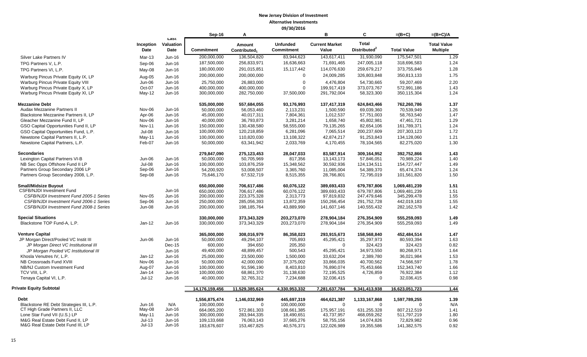|                                                                           |                   |                           | Sep-16                     | A                                  |                                      | B                              | C                                        | $=(B+C)$           | $=(B+C)/A$                            |
|---------------------------------------------------------------------------|-------------------|---------------------------|----------------------------|------------------------------------|--------------------------------------|--------------------------------|------------------------------------------|--------------------|---------------------------------------|
|                                                                           | Inception<br>Date | Last<br>Valuation<br>Date | <b>Commitment</b>          | Amount<br>Contributed <sub>1</sub> | <b>Unfunded</b><br><b>Commitment</b> | <b>Current Market</b><br>Value | <b>Total</b><br>Distributed <sup>2</sup> | <b>Total Value</b> | <b>Total Value</b><br><b>Multiple</b> |
| Silver Lake Partners IV                                                   | <b>Mar-13</b>     | Jun-16                    | 200,000,000                | 136,504,820                        | 83,944,623                           | 143,617,411                    | 31,930,090                               | 175,547,501        | 1.29                                  |
| TPG Partners V. L.P.                                                      | Sep-06            | Jun-16                    | 187,500,000                | 256,833,971                        | 16,636,663                           | 71,691,465                     | 247,005,118                              | 318,696,583        | 1.24                                  |
| TPG Partners VI, L.P.                                                     | May-08            | Jun-16                    | 180,000,000                | 291,015,851                        | 15,117,442                           | 114,076,630                    | 259,679,217                              | 373,755,846        | 1.28                                  |
|                                                                           |                   |                           | 200,000,000                | 200,000,000                        | $\mathbf 0$                          | 24,009,285                     | 326,803,848                              | 350,813,133        | 1.75                                  |
| Warburg Pincus Private Equity IX, LP                                      | Aug-05            | Jun-16                    |                            | 26,883,000                         | $\mathbf 0$                          | 4,476,804                      | 54,730,665                               | 59,207,469         | 2.20                                  |
| Warburg Pincus Private Equity VIII<br>Warburg Pincus Private Equity X, LP | Jun-06<br>Oct-07  | Jun-16<br>Jun-16          | 25,750,000<br>400,000,000  | 400,000,000                        | $\Omega$                             |                                | 373,073,767                              | 572,991,186        | 1.43                                  |
| Warburg Pincus Private Equity XI, LP                                      | May-12            | Jun-16                    | 300,000,000                | 282,750,000                        | 37,500,000                           | 199,917,419<br>291,792,004     | 58,323,300                               | 350,115,304        | 1.24                                  |
|                                                                           |                   |                           |                            |                                    |                                      |                                |                                          |                    |                                       |
| <b>Mezzanine Debt</b>                                                     |                   |                           | 535,000,000                | 557,684,055                        | 93,176,993                           | 137,417,319                    | 624,843,466                              | 762,260,786        | 1.37                                  |
| Audax Mezzanine Partners II                                               | Nov-06            | Jun-16                    | 50,000,000                 | 56,053,460                         | 2,113,231                            | 1,500,590                      | 69,039,360                               | 70,539,949         | 1.26                                  |
| Blackstone Mezzanine Partners II, LP                                      | Apr-06            | Jun-16                    | 45,000,000                 | 40,017,311                         | 7,804,361                            | 1,012,537                      | 57,751,003                               | 58,763,540         | 1.47                                  |
| Gleacher Mezzanine Fund II, LP                                            | Nov-06            | Jun-16                    | 40,000,000                 | 36,793,873                         | 3,281,214                            | 1,658,740                      | 45,802,981                               | 47,461,721         | 1.29                                  |
| GSO Capital Opportunities Fund II, LP                                     | Nov-11            | Jun-16                    | 150,000,000                | 130,438,580                        | 58,555,000                           | 79,135,265                     | 82,654,106                               | 161,789,371        | 1.24                                  |
| GSO Capital Opportunities Fund, L.P.                                      | $Jul-08$          | Jun-16                    | 100,000,000                | 120,218,859                        | 6,281,096                            | 7,065,514                      | 200,237,609                              | 207,303,123        | 1.72                                  |
| Newstone Capital Partners II, L.P.                                        | May-11            | Jun-16                    | 100,000,000                | 110,820,030                        | 13,108,322                           | 42,874,217                     | 91,253,843                               | 134,128,060        | 1.21                                  |
| Newstone Capital Partners, L.P.                                           | Feb-07            | Jun-16                    | 50,000,000                 | 63,341,942                         | 2,033,769                            | 4,170,455                      | 78,104,565                               | 82,275,020         | 1.30                                  |
| <b>Secondaries</b>                                                        |                   |                           | 279,847,090                | 275, 123, 453                      | 28,047,033                           | 83,587,914                     | 309,164,952                              | 392,752,866        | 1.43                                  |
| Lexington Capital Partners VI-B                                           | Jun-06            | Jun-16                    | 50,000,000                 | 50,705,969                         | 817,356                              | 13, 143, 173                   | 57,846,051                               | 70,989,224         | 1.40                                  |
| NB Sec Opps Offshore Fund II LP                                           | $Jul-08$          | Jun-16                    | 100,000,000                | 103.876.259                        | 15,348,562                           | 30.592.936                     | 124.134.511                              | 154.727.447        | 1.49                                  |
| Partners Group Secondary 2006 LP                                          | Sep-06            | Jun-16                    | 54,200,920                 | 53,008,507                         | 3,365,760                            | 11,085,004                     | 54,389,370                               | 65,474,374         | 1.24                                  |
| Partners Group Secondary 2008, L.P.                                       | Sep-08            | Jun-16                    | 75,646,170                 | 67,532,719                         | 8,515,355                            | 28,766,801                     | 72,795,019                               | 101,561,820        | 1.50                                  |
| <b>Small/Midsize Buyout</b>                                               |                   |                           | 650,000,000                | 706,617,486                        | 60,076,122                           | 389,693,433                    | 679,787,806                              | 1,069,481,239      | 1.51                                  |
| <b>CSFB/NJDI Investment Fund</b>                                          |                   | Jun-16                    | 650,000,000                | 706,617,486                        | 60,076,122                           | 389,693,433                    | 679,787,806                              | 1,069,481,239      | 1.51                                  |
| CSFB/NJDI Investment Fund 2005-1 Series                                   | <b>Nov-05</b>     | Jun-16                    | 200,000,000                | 223.375.328                        | 2,313,773                            | 97,819,832                     | 247.479.646                              | 345.299.478        | 1.55                                  |
| CSFB/NJDI Investment Fund 2006-1 Series                                   | Sep-06            | Jun-16                    | 250,000,000                | 285,056,393                        | 13,872,359                           | 150,266,454                    | 291,752,728                              | 442,019,183        | 1.55                                  |
| CSFB/NJDI Investment Fund 2008-1 Series                                   | <b>Jun-08</b>     | Jun-16                    | 200,000,000                | 198,185,764                        | 43,889,990                           | 141,607,146                    | 140,555,432                              | 282, 162, 578      | 1.42                                  |
| <b>Special Situations</b>                                                 |                   |                           | 330,000,000                | 373,343,329                        | 203,273,070                          | 278,904,184                    | 276,354,909                              | 555,259,093        | 1.49                                  |
| Blackstone TOP Fund-A, L.P.                                               | Jan-12            | Jun-16                    | 330,000,000                | 373,343,329                        | 203,273,070                          | 278,904,184                    | 276,354,909                              | 555,259,093        | 1.49                                  |
| <b>Venture Capital</b>                                                    |                   |                           | 365,000,000                | 308,016,979                        | 86,358,023                           | 293,915,673                    | 158,568,840                              | 452,484,514        | 1.47                                  |
| JP Morgan Direct/Pooled VC Instit III                                     | Jun-06            | Jun-16                    | 50,000,000                 | 49,294,107                         | 705,893                              | 45,295,421                     | 35,297,973                               | 80,593,394         | 1.63                                  |
| JP Morgan Direct VC Institutional III                                     |                   | Dec-15                    | 600,000                    | 394,650                            | 205,350                              | $\mathbf 0$                    | 324,423                                  | 324,423            | 0.82                                  |
| JP Morgan Pooled VC Institutional III                                     |                   | Jun-16                    | 49,400,000                 | 48,899,457                         | 500,543                              | 45,295,421                     | 34,973,550                               | 80,268,971         | 1.64                                  |
| Khosla Venutres IV, L.P.                                                  | $Jan-12$          | Jun-16                    | 25,000,000                 | 23,500,000                         | 1,500,000                            | 33,632,204                     | 2.389.780                                | 36,021,984         | 1.53                                  |
| NB Crossroads Fund XVIII                                                  | Nov-06            | Jun-16                    | 50,000,000                 | 42,000,000                         | 37,375,002                           | 33,866,035                     | 40,700,562                               | 74,566,597         | 1.78                                  |
| NB/NJ Custom Investment Fund                                              | Aug-07            | Jun-16                    |                            | 91,596,190                         | 8,403,810                            | 76,890,074                     | 75,453,666                               | 152,343,740        | 1.66                                  |
| TCV VIII, L.P.                                                            | Jan-14            | Jun-16                    | 100,000,000<br>100,000,000 | 68,861,370                         | 31,138,630                           | 72,195,525                     | 4,726,859                                | 76,922,384         | 1.12                                  |
| Tenaya Capital VI, L.P.                                                   | $Jul-12$          | Jun-16                    | 40,000,000                 | 32,765,312                         | 7,234,688                            | 32,036,415                     | $\Omega$                                 | 32,036,415         | 0.98                                  |
| <b>Private Equity Subtotal</b>                                            |                   |                           |                            |                                    |                                      |                                |                                          |                    |                                       |
|                                                                           |                   |                           | 14.176.159.456             | 11.529.385.624                     | 4.330.953.332                        | 7.281.637.784                  | 9.341.413.938                            | 16.623.051.723     | 1.44                                  |
| <b>Debt</b>                                                               |                   |                           | 1,556,875,474              | 1,146,032,969                      | 445,697,319                          | 464,621,387                    | 1,133,167,868                            | 1,597,789,255      | 1.39                                  |
| Blackstone RE Debt Strategies III, L.P.                                   | Jun-16            | N/A                       | 100,000,000                | 0                                  | 100,000,000                          | $\mathbf 0$                    | $\mathbf 0$                              | $\mathbf 0$        | N/A                                   |
| CT High Grade Partners II, LLC                                            | May-08            | Jun-16                    | 664,065,200                | 572,861,303                        | 108,661,385                          | 175,957,191                    | 631,255,328                              | 807,212,519        | 1.41                                  |
| Lone Star Fund VII (U.S.) LP                                              | May-11            | Jun-16                    | 300,000,000                | 283,944,335                        | 18,490,651                           | 43,737,957                     | 468,059,262                              | 511,797,219        | 1.80                                  |
| M&G Real Estate Debt Fund II. LP                                          | $Jul-13$          | Jun-16                    | 109,133,668                | 76,063,143                         | 37,665,276                           | 58,755,156                     | 14,074,826                               | 72,829,982         | 0.96                                  |
| M&G Real Estate Debt Fund III, LP                                         | $Jul-13$          | Jun-16                    | 183,676,607                | 153,467,825                        | 40,576,371                           | 122,026,989                    | 19,355,586                               | 141,382,575        | 0.92                                  |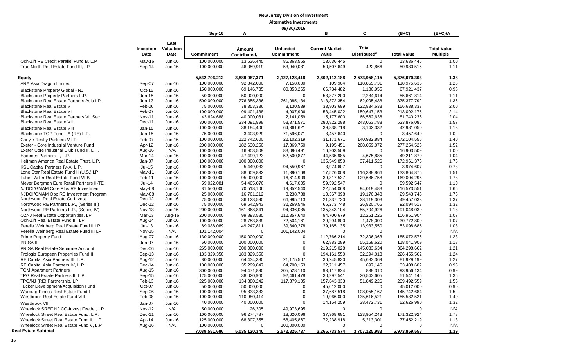**09/30/2016**

|                                           |               |               | Sep-16            | А                        |                   | в                     | C                        | $=(B+C)$           | $=(B+C)/A$         |
|-------------------------------------------|---------------|---------------|-------------------|--------------------------|-------------------|-----------------------|--------------------------|--------------------|--------------------|
|                                           |               | Last          |                   |                          |                   |                       |                          |                    |                    |
|                                           | Inception     | Valuation     |                   | Amount                   | <b>Unfunded</b>   | <b>Current Market</b> | <b>Total</b>             |                    | <b>Total Value</b> |
|                                           | Date          | Date          | <b>Commitment</b> | Contributed <sub>1</sub> | <b>Commitment</b> | Value                 | Distributed <sup>2</sup> | <b>Total Value</b> | <b>Multiple</b>    |
| Och-Ziff RE Credit Parallel Fund B, L.P   | $May-16$      | Jun-16        | 100,000,000       | 13,636,445               | 86,363,555        | 13,636,445            | $\mathbf 0$              | 13,636,445         | 1.00               |
| True North Real Estate Fund III, LP       | Sep-14        | Jun-16        | 100,000,000       | 46,059,919               | 53,940,081        | 50,507,649            | 422,866                  | 50,930,515         | 1.11               |
|                                           |               |               |                   |                          |                   |                       |                          |                    |                    |
| Equity                                    |               |               | 5,532,706,212     | 3,889,087,371            | 2,127,128,418     | 2,802,112,188         | 2,573,958,115            | 5,376,070,303      | 1.38               |
| ARA Asia Dragon Limited                   | Sep-07        | Jun-16        | 100,000,000       | 92,842,000               | 7,158,000         | 109,904               | 118,865,731              | 118,975,635        | 1.28               |
| Blackstone Property Global - NJ           | Oct-15        | Jun-16        | 150,000,000       | 69,146,735               | 80,853,265        | 66,734,482            | 1,186,955                | 67,921,437         | 0.98               |
| Blackstone Property Partners L.P.         | Jun-15        | Jun-16        | 50,000,000        | 50,000,000               | $\Omega$          | 53,377,200            | 2,284,614                | 55,661,814         | 1.11               |
| Blackstone Real Estate Partners Asia LP   | $Jun-13$      | Jun-16        | 500,000,000       | 276,355,336              | 261,085,134       | 313,372,354           | 62,005,438               | 375, 377, 792      | 1.36               |
| <b>Blackstone Real Estate V</b>           | Feb-06        | Jun-16        | 75,000,000        | 78,353,336               | 3,130,539         | 33,803,699            | 122,834,633              | 156,638,333        | 2.00               |
| <b>Blackstone Real Estate VI</b>          | Feb-07        | Jun-16        | 100,000,000       | 99,401,438               | 4,907,906         | 53,445,022            | 159,647,153              | 213,092,175        | 2.14               |
| Blackstone Real Estate Partners VI, Sec   | <b>Nov-11</b> | Jun-16        | 43,624,688        | 40,000,081               | 2,141,059         | 15,177,600            | 66,562,636               | 81,740,236         | 2.04               |
| <b>Blackstone Real Estate VII</b>         | Dec-11        | Jun-16        | 300,000,000       | 334,091,898              | 53,371,571        | 280,822,298           | 243,053,788              | 523,876,086        | 1.57               |
| <b>Blackstone Real Estate VIII</b>        | Jan-15        | <b>Jun-16</b> | 100,000,000       | 38,184,406               | 64,361,621        | 39,838,718            | 3,142,332                | 42,981,050         | 1.13               |
| Blackstone TOP Fund - A (RE) L.P.         | Jan-15        | Jun-16        | 75,000,000        | 3.403.929                | 71.596.071        | 3,457,640             | $\Omega$                 | 3,457,640          | 1.02               |
| Carlyle Realty Partners V LP              | Feb-07        | Jun-16        | 100,000,000       | 122,742,600              | 22,102,319        | 31, 171, 671          | 140,932,884              | 172,104,555        | 1.40               |
| Exeter - Core Industrial Venture Fund     | Apr-12        | Jun-16        | 200,000,000       | 182,630,250              | 17,369,750        | 9,195,451             | 268,059,072              | 277,254,523        | 1.52               |
| Exeter Core Industrial Club Fund II, L.P. | Aug-16        | N/A           | 100,000,000       | 16,903,509               | 83,096,491        | 16,903,509            | $\Omega$                 | 16,903,509         | 1.00               |
| Hammes Partners II. L.P.                  | Mar-14        | Jun-16        | 100,000,000       | 47,499,123               | 52,500,877        | 44,535,985            | 4,675,885                | 49,211,870         | 1.04               |
| Heitman America Real Estate Trust, L.P.   | Jan-07        | Jun-16        | 100,000,000       | 100,000,000              | $\Omega$          | 135,549,850           | 37,411,526               | 172,961,376        | 1.73               |
| KSL Capital Partners IV-A, L.P.           | Jul-15        | Jun-16        | 100,000,000       | 5,449,033                | 94,550,967        | 3,974,607             | $\Omega$                 | 3,974,607          | 0.73               |
| Lone Star Real Estate Fund II (U.S.) LP   | May-11        | Jun-16        | 100,000,000       | 88,609,832               | 11,390,168        | 17,526,008            | 116,338,866              | 133,864,875        | 1.51               |
| Lubert Adler Real Estate Fund VI-B        | Feb-11        | Jun-16        | 100,000,000       | 95,000,000               | 16,614,909        | 39,317,537            | 129,686,758              | 169,004,295        | 1.78               |
| Meyer Bergman Euro Retail Partners II-TE  | $Jul-14$      | Jun-16        | 59,022,081        | 54,405,076               | 4,617,005         | 59,592,547            | $\mathbf 0$              | 59,592,547         | 1.10               |
| NJDOI/GMAM Core Plus RE Investment        | May-08        | Jun-16        | 81,500,000        | 70,518,106               | 19,852,540        | 22,554,068            | 94,019,483               | 116,573,551        | 1.65               |
| NJDOI/GMAM Opp RE Investment Program      | May-08        | Jun-16        | 25,000,000        | 16,761,212               | 8,238,788         | 10,367,398            | 19,176,348               | 29,543,746         | 1.76               |
| Northwood Real Estate Co-Invest           | $Dec-12$      | Jun-16        | 75,000,000        | 36,123,590               | 66,995,713        | 21,337,730            | 28,119,303               | 49,457,033         | 1.37               |
| Northwood RE Partners L.P., (Series III)  | Dec-12        | Jun-16        | 75,000,000        | 69,542,943               | 32,269,546        | 65,273,748            | 26,820,765               | 92,094,513         | 1.32               |
| Northwood RE Partners L.P., (Series IV)   | <b>Nov-13</b> | Jun-16        | 200,000,000       | 161,368,841              | 94,336,085        | 135,343,104           | 55,704,926               | 191,048,030        | 1.18               |
| OZNJ Real Estate Opportunities, LP        | Mar-13        | Aug-16        | 200,000,000       | 99,893,585               | 112,357,640       | 94,700,679            | 12.251.225               | 106,951,904        | 1.07               |
| Och-Ziff Real Estate Fund III, LP         | Aug-14        | Jun-16        | 100,000,000       | 28,753,839               | 72,504,161        | 29,294,800            | 1,478,000                | 30,772,800         | 1.07               |
| Perella Weinberg Real Estate Fund II LP   | $Jul-13$      | Jun-16        | 89,088,089        | 49,247,811               | 39,840,278        | 39,165,135            | 13,933,550               | 53,098,685         | 1.08               |
| Perella Weinberg Real Estate Fund III LP  | <b>Nov-15</b> | N/A           | 101,142,004       | $\Omega$                 | 101,142,004       | $\Omega$              | $\Omega$                 | $\Omega$           | N/A                |
| <b>Prime Property Fund</b>                | Aug-07        | Jun-16        | 130,000,000       | 150,000,000              | $\Omega$          | 112,766,214           | 72,306,363               | 185,072,576        | 1.23               |
| PRISA II                                  | <b>Jun-07</b> | Jun-16        | 60,000,000        | 100,000,000              | $\Omega$          | 62,883,289            | 55,158,620               | 118,041,909        | 1.18               |
| PRISA Real Estate Separate Account        | Dec-06        | Jun-16        | 265,000,000       | 300,000,000              | $\Omega$          | 219,215,028           | 145,083,634              | 364,298,662        | 1.21               |
| Prologis European Properties Fund II      | Sep-13        | Jun-16        | 183,329,350       | 183,329,350              | $\Omega$          | 194, 161, 550         | 32,294,013               | 226,455,562        | 1.24               |
| RE Capital Asia Partners III, L.P.        | Aug-12        | Jun-16        | 80,000,000        | 64.434.380               | 21.175.507        | 36,245,830            | 45.683.369               | 81,929,199         | 1.27               |
| RE Capital Asia Partners IV, L.P.         | Dec-14        | $Jun-16$      | 100,000,000       | 35,299,847               | 64,700,153        | 32,711,457            | 697,145                  | 33,408,602         | 0.95               |
| <b>TGM Apartment Partners</b>             | Aug-15        | Jun-16        | 300,000,000       | 94,471,890               | 205,528,110       | 93,117,824            | 838,310                  | 93,956,134         | 0.99               |
| TPG Real Estate Partners II, L.P.         | Sep-15        | Jun-16        | 125,000,000       | 38,020,960               | 92,461,478        | 30,997,541            | 20,543,605               | 51,541,146         | 1.36               |
| TPG/NJ (RE) Partnership, LP               | Feb-13        | Jun-16        | 225,000,000       | 134,880,242              | 117,879,105       | 157,643,333           | 51,849,226               | 209,492,559        | 1.55               |
| Tucker Development/Acquisition Fund       | Oct-07        | Jun-16        | 50,000,000        | 50,000,000               | $\Omega$          | 45,012,000            | $\Omega$                 | 45,012,000         | 0.90               |
| Warburg Pincus Real Estate Fund I         | Sep-06        | Jun-16        | 100,000,000       | 95,833,333               | $\Omega$          | 37,687,518            | 108,055,167              | 145,742,684        | 1.52               |
| Westbrook Real Estate Fund VIII           | Feb-08        | Jun-16        | 100,000,000       | 110,980,414              | $\mathbf 0$       | 19,966,000            | 135,616,521              | 155,582,521        | 1.40               |
| Westbrook VII                             | $Jan-07$      | Jun-16        | 40,000,000        | 40,000,000               | $\Omega$          | 14, 154, 259          | 38,472,731               | 52,626,990         | 1.32               |
| Wheelock SREF NJ CO-Invest Feeder, LP     | <b>Nov-12</b> | N/A           | 50,000,000        | 26,305                   | 49,973,695        | $\mathbf 0$           | $\mathbf 0$              | $\mathbf 0$        | N/A                |
| Wheelock Street Real Estate Fund, L.P.    | Dec-11        | Jun-16        | 100,000,000       | 96,274,787               | 18,620,096        | 37,368,681            | 133,954,243              | 171,322,924        | 1.78               |
| Wheelock Street Real Estate Fund II, L.P. | Apr-14        | Jun-16        | 125,000,000       | 68,307,355               | 58,405,867        | 72,238,918            | 5,213,301                | 77,452,219         | 1.13               |
| Wheelock Street Real Estate Fund V, L.P   | Aug-16        | N/A           | 100,000,000       | $\Omega$                 | 100,000,000       | $\Omega$              | $\Omega$                 | $\Omega$           | N/A                |
| Real Estate Subtotal                      |               |               | 7,089,581,686     | 5,035,120,340            | 2,572,825,737     | 3,266,733,574         | 3,707,125,983            | 6,973,859,558      | 1.39               |

16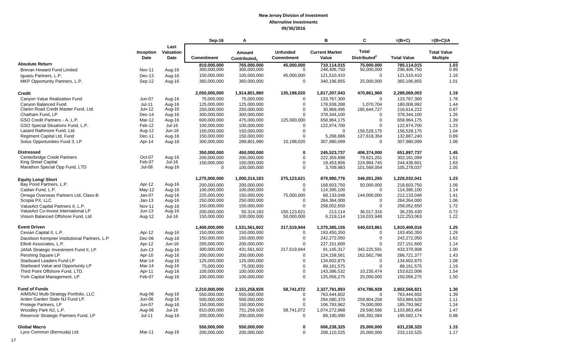|                                              |               |           | Sep-16            | A                        |                   | B                     | C                        | $=(B+C)$           | $=(B+C)/A$         |
|----------------------------------------------|---------------|-----------|-------------------|--------------------------|-------------------|-----------------------|--------------------------|--------------------|--------------------|
|                                              |               | Last      |                   |                          |                   |                       |                          |                    |                    |
|                                              | Inception     | Valuation |                   | Amount                   | <b>Unfunded</b>   | <b>Current Market</b> | <b>Total</b>             |                    | <b>Total Value</b> |
|                                              | Date          | Date      | <b>Commitment</b> | Contributed <sub>1</sub> | <b>Commitment</b> | Value                 | Distributed <sup>2</sup> | <b>Total Value</b> | <b>Multiple</b>    |
| <b>Absolute Return</b>                       |               |           | 810.000.000       | 765,000,000              | 45,000,000        | 710,114,015           | 75.000.000               | 785.114.015        | 1.03               |
| Brevan Howard Fund Limited                   | Nov-11        | Aug-16    | 300,000,000       | 300,000,000              | $\mathbf 0$       | 248,406,750           | 50,000,000               | 298,406,750        | 0.99               |
| Iquazu Partners, L.P.                        | $Dec-13$      | Aug-16    | 150,000,000       | 105,000,000              | 45,000,000        | 121,510,410           | $\mathbf 0$              | 121,510,410        | 1.16               |
| MKP Opportunity Partners, L.P.               | Sep-12        | Aug-16    | 360,000,000       | 360,000,000              | $\Omega$          | 340,196,855           | 25,000,000               | 365,196,855        | 1.01               |
| <b>Credit</b>                                |               |           | 2,050,000,000     | 1,914,801,980            | 135,198,020       | 1,817,207,043         | 470,861,960              | 2,288,069,003      | 1.19               |
| Canyon Value Realization Fund                | Jun-07        | Aug-16    | 75,000,000        | 75,000,000               | $\Omega$          | 133,767,300           | $\mathbf 0$              | 133,767,300        | 1.78               |
| Canvon Balanced Fund                         | $Jul-11$      | Aug-16    | 125,000,000       | 125,000,000              | $\mathbf 0$       | 178.938.288           | 1.070.704                | 180,008,992        | 1.44               |
| Claren Road Credit Master Fund, Ltd.         | $Jun-12$      | Aug-16    | 250,000,000       | 250,000,000              | $\Omega$          | 30,969,495            | 185,644,727              | 216,614,222        | 0.87               |
| Chatham Fund, LP                             | Dec-14        | Aug-16    | 300,000,000       | 300,000,000              | $\Omega$          | 378,344,100           | 0                        | 378,344,100        | 1.26               |
| GSO Credit Partners - A, L.P.                | <b>Mar-12</b> | Aug-16    | 600,000,000       | 475.000.000              | 125,000,000       | 658.964.175           | $\mathbf 0$              | 658,964,175        | 1.39               |
| GSO Special Situations Fund, L.P.            | Feb-12        | $Jul-16$  | 100,000,000       | 100,000,000              | $\Omega$          | 122,974,700           | $\Omega$                 | 122,974,700        | 1.23               |
| Lazard Rathmore Fund, Ltd.                   | Aug-12        | Jun-16    | 150,000,000       | 150,000,000              | $\Omega$          | $\mathbf 0$           | 156,528,175              | 156,528,175        | 1.04               |
| Regiment Capital Ltd. Fund                   | Dec-11        | Aug-16    | 150,000,000       | 150.000.000              | $\Omega$          | 5,268,886             | 127,618,354              | 132,887,240        | 0.89               |
| Solus Opportunities Fund 3, LP               | Apr-14        | Aug-16    | 300,000,000       | 289,801,980              | 10,198,020        | 307,980,099           | $\Omega$                 | 307,980,099        | 1.06               |
| <b>Distressed</b>                            |               |           | 350,000,000       | 450,000,000              | $\bf{0}$          | 245,523,737           | 406,374,000              | 651,897,737        | 1.45               |
| Centerbridge Credit Partners                 | Oct-07        | Aug-16    | 200,000,000       | 200,000,000              | $\Omega$          | 222,359,898           | 79.821.201               | 302.181.099        | 1.51               |
| <b>King Street Capital</b>                   | Feb-07        | $Jul-16$  | 150,000,000       | 150,000,000              | 0                 | 19,453,856            | 224,984,745              | 244,438,601        | 1.63               |
| Marathon Special Opp Fund, LTD               | Jul-08        | Aug-16    | $\mathbf 0$       | 100,000,000              | $\Omega$          | 3,709,983             | 101,568,054              | 105,278,037        | 1.05               |
| <b>Equity Long/ Short</b>                    |               |           | 1,275,000,000     | 1,000,314,183            | 275,123,621       | 879,980,776           | 346.051,265              | 1,226,032,041      | 1.23               |
| Bay Pond Partners, L.P.                      | Apr-12        | Aug-16    | 200.000.000       | 200.000.000              | $\mathbf 0$       | 168.603.750           | 50,000,000               | 218.603.750        | 1.09               |
| Cadian Fund, L.P.                            | $May-12$      | Aug-16    | 100,000,000       | 100,000,000              | $\Omega$          | 114,395,100           | $\Omega$                 | 114,395,100        | 1.14               |
| Omega Overseas Partners Ltd. Class-B         | $Jan-07$      | Aug-16    | 225,000,000       | 150,000,000              | 75,000,000        | 68.133.048            | 144,000,000              | 212,133,048        | 1.41               |
| Scopia PX, LLC                               | $Jan-13$      | Aug-16    | 250,000,000       | 250,000,000              | $\Omega$          | 264,364,000           | $\Omega$                 | 264,364,000        | 1.06               |
| ValueAct Capital Partners II, L.P.           | <b>Nov-11</b> | Aug-16    | 150,000,000       | 150,000,000              | $\Omega$          | 258,052,650           | $\Omega$                 | 258,052,650        | 1.72               |
| ValueAct Co-Invest International LP          | $Jun-13$      | Aug-16    | 200,000,000       | 50,314,183               | 150,123,621       | 213,114               | 36,017,316               | 36,230,430         | 0.72               |
| Visium Balanced Offshore Fund, Ltd           | Aug-12        | Jul-16    | 150,000,000       | 100,000,000              | 50,000,000        | 6,219,114             | 116,033,948              | 122,253,063        | 1.22               |
| <b>Event Driven</b>                          |               |           | 1,400,000,000     | 1,531,561,602            | 217,519,944       | 1,370,385,155         | 540,023,861              | 1,910,409,016      | 1.25               |
| Cevian Capital II, L.P.                      | Apr-12        | Aug-16    | 150,000,000       | 150,000,000              | $\Omega$          | 193,450,350           | $\Omega$                 | 193,450,350        | 1.29               |
| Davidson Kempner Institutional Partners, L.P | Dec-06        | Aug-16    | 150,000,000       | 150,000,000              | $\mathbf 0$       | 242,272,050           | $\mathbf 0$              | 242,272,050        | 1.62               |
| Elliott Associates, L.P.                     | Apr-12        | Jun-16    | 200,000,000       | 200,000,000              | $\Omega$          | 227,151,600           | $\Omega$                 | 227, 151, 600      | 1.14               |
| JANA Strategic Investment Fund II, LP        | $Jun-13$      | Aug-16    | 300,000,000       | 431,561,602              | 217,519,944       | 91,145,317            | 342,225,591              | 433,370,908        | 1.00               |
| Pershing Square LP                           | Apr-10        | Aug-16    | 200,000,000       | 200,000,000              | $\Omega$          | 124,158,581           | 162,562,796              | 286,721,377        | 1.43               |
| Starboard Leaders Fund LP                    | Mar-14        | Aug-16    | 125,000,000       | 125,000,000              | $\mathbf 0$       | 134,602,875           | $\mathbf 0$              | 134,602,875        | 1.08               |
| Starboard Value and Opportunity LP           | Mar-14        | Aug-16    | 75,000,000        | 75.000.000               | $\Omega$          | 89.161.575            | $\Omega$                 | 89,161,575         | 1.19               |
| Third Point Offshore Fund, LTD.              | Apr-11        | Aug-16    | 100,000,000       | 100,000,000              | $\Omega$          | 143,386,532           | 10,235,474               | 153,622,006        | 1.54               |
| York Capital Management, LP                  | Feb-07        | Aug-16    | 100,000,000       | 100,000,000              | $\Omega$          | 125,056,275           | 25,000,000               | 150,056,275        | 1.50               |
| <b>Fund of Funds</b>                         |               |           | 2,210,000,000     | 2,151,258,928            | 58,741,072        | 2,327,781,893         | 474,786,928              | 2,802,568,821      | 1.30               |
| AIMS/NJ Multi-Strategy Portfolio, LLC        | Aug-06        | Aug-16    | 550,000,000       | 550,000,000              | $\mathbf 0$       | 763,444,602           | $\mathbf 0$              | 763,444,602        | 1.39               |
| Arden Garden State NJ Fund LP.               | Jun-06        | Aug-16    | 500,000,000       | 500,000,000              | $\Omega$          | 294,080,370           | 259,804,258              | 553,884,628        | 1.11               |
| Protege Partners, LP                         | Jun-07        | Aug-16    | 150,000,000       | 150,000,000              | $\Omega$          | 106,793,962           | 79,000,000               | 185,793,962        | 1.24               |
| Woodley Park NJ, L.P.                        | Aug-06        | $Jul-16$  | 810,000,000       | 751,258,928              | 58,741,072        | 1,074,272,868         | 29.590.586               | 1,103,863,454      | 1.47               |
| Reservoir Strategic Partners Fund, LP        | $Jul-11$      | Aug-16    | 200,000,000       | 200,000,000              | $\Omega$          | 89,190,090            | 106,392,084              | 195,582,174        | 0.98               |
| <b>Global Macro</b>                          |               |           | 550,000,000       | 550,000,000              | 0                 | 606,238,325           | 25,000,000               | 631,238,325        | 1.15               |
| Lynx Common (Bermuda) Ltd.                   | Mar-11        | Aug-16    | 200,000,000       | 200,000,000              | $\Omega$          | 208,110,525           | 25,000,000               | 233,110,525        | 1.17               |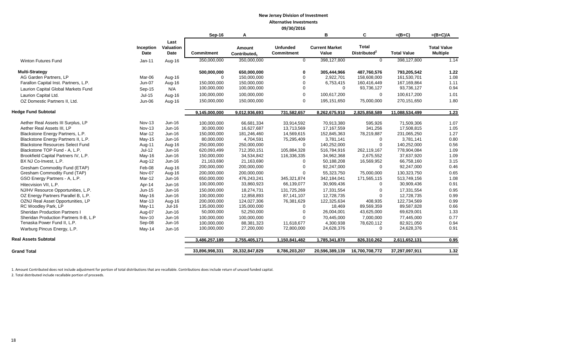|                                                                                                                                                                                                                                                                                                                                                                                                                                                                                                                                                                                                       |                                                                                                                                                                                          |                                                                                                                                                                              | Sep-16                                                                                                                                                                                                                                                  | Α                                                                                                                                                                                                                                                 |                                                                                                                                                                                                                          | в                                                                                                                                                                                                                                          | C                                                                                                                                                                                                                         | $=(B+C)$                                                                                                                                                                                                                                        | $=(B+C)/A$                                                                                                                           |
|-------------------------------------------------------------------------------------------------------------------------------------------------------------------------------------------------------------------------------------------------------------------------------------------------------------------------------------------------------------------------------------------------------------------------------------------------------------------------------------------------------------------------------------------------------------------------------------------------------|------------------------------------------------------------------------------------------------------------------------------------------------------------------------------------------|------------------------------------------------------------------------------------------------------------------------------------------------------------------------------|---------------------------------------------------------------------------------------------------------------------------------------------------------------------------------------------------------------------------------------------------------|---------------------------------------------------------------------------------------------------------------------------------------------------------------------------------------------------------------------------------------------------|--------------------------------------------------------------------------------------------------------------------------------------------------------------------------------------------------------------------------|--------------------------------------------------------------------------------------------------------------------------------------------------------------------------------------------------------------------------------------------|---------------------------------------------------------------------------------------------------------------------------------------------------------------------------------------------------------------------------|-------------------------------------------------------------------------------------------------------------------------------------------------------------------------------------------------------------------------------------------------|--------------------------------------------------------------------------------------------------------------------------------------|
|                                                                                                                                                                                                                                                                                                                                                                                                                                                                                                                                                                                                       | Inception<br>Date                                                                                                                                                                        | Last<br>Valuation<br><b>Date</b>                                                                                                                                             | Commitment                                                                                                                                                                                                                                              | Amount<br>Contributed <sub>1</sub>                                                                                                                                                                                                                | <b>Unfunded</b><br><b>Commitment</b>                                                                                                                                                                                     | <b>Current Market</b><br>Value                                                                                                                                                                                                             | <b>Total</b><br>Distributed <sup>2</sup>                                                                                                                                                                                  | <b>Total Value</b>                                                                                                                                                                                                                              | <b>Total Value</b><br><b>Multiple</b>                                                                                                |
| <b>Winton Futures Fund</b>                                                                                                                                                                                                                                                                                                                                                                                                                                                                                                                                                                            | $Jan-11$                                                                                                                                                                                 | Aug-16                                                                                                                                                                       | 350,000,000                                                                                                                                                                                                                                             | 350,000,000                                                                                                                                                                                                                                       | $\mathbf{0}$                                                                                                                                                                                                             | 398,127,800                                                                                                                                                                                                                                | $\mathbf 0$                                                                                                                                                                                                               | 398,127,800                                                                                                                                                                                                                                     | 1.14                                                                                                                                 |
| <b>Multi-Strategy</b><br>AG Garden Partners, LP<br>Farallon Capital Inst. Partners, L.P.<br>Laurion Capital Global Markets Fund<br>Laurion Capital Ltd.<br>OZ Domestic Partners II. Ltd.                                                                                                                                                                                                                                                                                                                                                                                                              | Mar-06<br>Jun-07<br>Sep-15<br>$Jul-15$<br>Jun-06                                                                                                                                         | Aug-16<br>Aug-16<br>N/A<br>Aug-16<br>Aug-16                                                                                                                                  | 500,000,000<br>$\Omega$<br>150,000,000<br>100,000,000<br>100,000,000<br>150,000,000                                                                                                                                                                     | 650,000,000<br>150,000,000<br>150,000,000<br>100,000,000<br>100,000,000<br>150,000,000                                                                                                                                                            | $\bf{0}$<br>$\Omega$<br>$\Omega$<br>$\Omega$<br>$\Omega$<br>$\Omega$                                                                                                                                                     | 305,444,966<br>2,922,701<br>6,753,415<br>$\mathbf 0$<br>100,617,200<br>195,151,650                                                                                                                                                         | 487.760.576<br>158,608,000<br>160,416,449<br>93,736,127<br>$\Omega$<br>75,000,000                                                                                                                                         | 793,205,542<br>161,530,701<br>167,169,864<br>93,736,127<br>100,617,200<br>270,151,650                                                                                                                                                           | 1.22<br>1.08<br>1.11<br>0.94<br>1.01<br>1.80                                                                                         |
| <b>Hedge Fund Subtotal</b>                                                                                                                                                                                                                                                                                                                                                                                                                                                                                                                                                                            |                                                                                                                                                                                          |                                                                                                                                                                              | 9,145,000,000                                                                                                                                                                                                                                           | 9,012,936,693                                                                                                                                                                                                                                     | 731,582,657                                                                                                                                                                                                              | 8,262,675,910                                                                                                                                                                                                                              | 2,825,858,589                                                                                                                                                                                                             | 11,088,534,499                                                                                                                                                                                                                                  | 1.23                                                                                                                                 |
| Aether Real Assets III Surplus, LP<br>Aether Real Assets III, LP<br>Blackstone Energy Partners, L.P.<br>Blackstone Energy Partners II, L.P.<br><b>Blackstone Resources Select Fund</b><br>Blackstone TOP Fund - A, L.P.<br>Brookfield Capital Partners IV, L.P.<br>BX NJ Co-Invest, L.P.<br>Gresham Commodity Fund (ETAP)<br>Gresham Commodity Fund (TAP)<br>GSO Energy Partners - A, L.P.<br>Hitecvision VII, L.P.<br>NJ/HV Resource Opportunities, L.P.<br>OZ Energy Partners Parallel B, L.P.<br>OZNJ Real Asset Opportunities, LP<br>RC Woodley Park, LP<br><b>Sheridan Production Partners I</b> | <b>Nov-13</b><br><b>Nov-13</b><br>Mar-12<br>May-15<br>Aug-11<br>$Jul-12$<br>May-16<br>Aug-12<br>Feb-08<br>Nov-07<br>Mar-12<br>Apr-14<br>Jun-15<br>May-16<br>Mar-13<br>$May-11$<br>Aug-07 | $Jun-16$<br>Jun-16<br>Jun-16<br>Jun-16<br>Aug-16<br>Jun-16<br>Jun-16<br>$Jun-16$<br>Aug-16<br>Aug-16<br>Jun-16<br>$Jun-16$<br>Jun-16<br>Jun-16<br>Aug-16<br>Jul-16<br>Jun-16 | 100,000,000<br>30,000,000<br>150,000,000<br>80,000,000<br>250,000,000<br>620,093,499<br>150,000,000<br>21,163,690<br>200,000,000<br>200,000,000<br>650,000,000<br>100,000,000<br>150,000,000<br>100,000,000<br>200,000,000<br>135,000,000<br>50,000,000 | 66,681,334<br>16,627,687<br>181,246,460<br>4,704,591<br>250,000,000<br>712,350,151<br>34,534,842<br>21,163,690<br>200,000,000<br>200,000,000<br>476,243,241<br>33,860,923<br>18,274,731<br>12,858,893<br>124,027,306<br>135,000,000<br>52,250,000 | 33,914,592<br>13,713,569<br>14,569,615<br>75,295,409<br>$\Omega$<br>105,884,328<br>116,336,335<br>$\Omega$<br>$\Omega$<br>345, 321, 874<br>66,139,077<br>131,725,269<br>87,141,107<br>76,381,629<br>$\Omega$<br>$\Omega$ | 70,913,380<br>17,167,559<br>152,845,363<br>3,781,141<br>140,252,000<br>516,784,916<br>34,962,368<br>50,188,208<br>92,247,000<br>55,323,750<br>342,184,041<br>30,909,436<br>17,331,554<br>12,728,735<br>122,325,634<br>18,469<br>26,004,001 | 595,926<br>341,256<br>78,219,887<br>$\mathbf 0$<br>$\Omega$<br>262,119,167<br>2,675,552<br>16,569,952<br>$\Omega$<br>75,000,000<br>171,565,115<br>$\Omega$<br>$\Omega$<br>$\Omega$<br>408,935<br>89,569,359<br>43,625,000 | 71,509,306<br>17,508,815<br>231,065,250<br>3,781,141<br>140,252,000<br>778,904,084<br>37,637,920<br>66,758,160<br>92,247,000<br>130,323,750<br>513,749,156<br>30,909,436<br>17,331,554<br>12,728,735<br>122,734,569<br>89,587,828<br>69,629,001 | 1.07<br>1.05<br>1.27<br>0.80<br>0.56<br>1.09<br>1.09<br>3.15<br>0.46<br>0.65<br>1.08<br>0.91<br>0.95<br>0.99<br>0.99<br>0.66<br>1.33 |
| Sheridan Production Partners II-B, L.P<br>Tenaska Power Fund II, L.P.                                                                                                                                                                                                                                                                                                                                                                                                                                                                                                                                 | <b>Nov-10</b><br>Sep-08                                                                                                                                                                  | Jun-16<br>Jun-16                                                                                                                                                             | 100,000,000<br>100,000,000                                                                                                                                                                                                                              | 100,000,000<br>88,381,323                                                                                                                                                                                                                         | $\Omega$<br>11,618,677                                                                                                                                                                                                   | 70,445,000<br>4,300,938                                                                                                                                                                                                                    | 7,000,000<br>78,620,112                                                                                                                                                                                                   | 77,445,000<br>82,921,050                                                                                                                                                                                                                        | 0.77<br>0.94                                                                                                                         |
| Warburg Pincus Energy, L.P.                                                                                                                                                                                                                                                                                                                                                                                                                                                                                                                                                                           | May-14                                                                                                                                                                                   | Jun-16                                                                                                                                                                       | 100,000,000                                                                                                                                                                                                                                             | 27,200,000                                                                                                                                                                                                                                        | 72,800,000                                                                                                                                                                                                               | 24,628,376                                                                                                                                                                                                                                 | $\mathbf 0$                                                                                                                                                                                                               | 24,628,376                                                                                                                                                                                                                                      | 0.91                                                                                                                                 |
| <b>Real Assets Subtotal</b>                                                                                                                                                                                                                                                                                                                                                                                                                                                                                                                                                                           |                                                                                                                                                                                          |                                                                                                                                                                              | 3,486,257,189                                                                                                                                                                                                                                           | 2,755,405,171                                                                                                                                                                                                                                     | 1,150,841,482                                                                                                                                                                                                            | 1,785,341,870                                                                                                                                                                                                                              | 826,310,262                                                                                                                                                                                                               | 2,611,652,131                                                                                                                                                                                                                                   | 0.95                                                                                                                                 |
| <b>Grand Total</b>                                                                                                                                                                                                                                                                                                                                                                                                                                                                                                                                                                                    |                                                                                                                                                                                          |                                                                                                                                                                              | 33,896,998,331                                                                                                                                                                                                                                          | 28,332,847,829                                                                                                                                                                                                                                    | 8,786,203,207                                                                                                                                                                                                            | 20,596,389,139                                                                                                                                                                                                                             | 16,700,708,772                                                                                                                                                                                                            | 37,297,097,911                                                                                                                                                                                                                                  | 1.32                                                                                                                                 |

1. Amount Contributed does not include adjustment for portion of total distributions that are recallable. Contributions does include return of unused funded capital. 2. Total distributed include recallable portion of proceeds.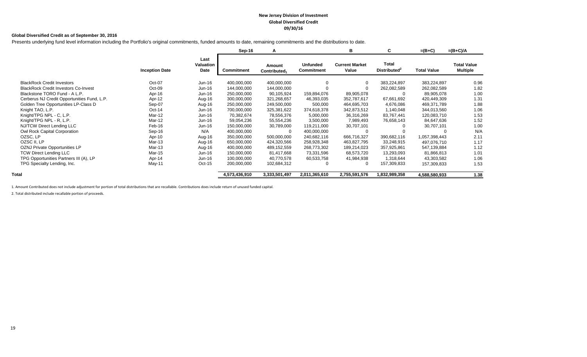#### **New Jersey Division of Investment Global Diversified Credit 09/30/16**

#### **Global Diversified Credit as of September 30, 2016**

Presents underlying fund level information including the Portfolio's original commitments, funded amounts to date, remaining commitments and the distributions to date.

|                                             |                       |                           | Sep-16        | A                                  |                                      | в                              | C                                 | $=(B+C)$           | $=(B+C)/A$                            |
|---------------------------------------------|-----------------------|---------------------------|---------------|------------------------------------|--------------------------------------|--------------------------------|-----------------------------------|--------------------|---------------------------------------|
|                                             | <b>Inception Date</b> | Last<br>Valuation<br>Date | Commitment    | Amount<br>Contributed <sub>1</sub> | <b>Unfunded</b><br><b>Commitment</b> | <b>Current Market</b><br>Value | Total<br>Distributed <sup>2</sup> | <b>Total Value</b> | <b>Total Value</b><br><b>Multiple</b> |
| <b>BlackRock Credit Investors</b>           | Oct-07                | Jun-16                    | 400,000,000   | 400,000,000                        | $\Omega$                             |                                | 383,224,897                       | 383,224,897        | 0.96                                  |
| <b>BlackRock Credit Investors Co-Invest</b> | Oct-09                | Jun-16                    | 144,000,000   | 144,000,000                        |                                      |                                | 262,082,589                       | 262,082,589        | 1.82                                  |
| Blackstone TORO Fund - A L.P.               | Apr-16                | Jun-16                    | 250,000,000   | 90,105,924                         | 159,894,076                          | 89,905,078                     |                                   | 89,905,078         | 1.00                                  |
| Cerberus NJ Credit Opportunities Fund, L.P. | Apr-12                | Aug-16                    | 300,000,000   | 321,268,657                        | 46,393,035                           | 352,787,617                    | 67,661,692                        | 420,449,309        | 1.31                                  |
| Golden Tree Opportunities LP-Class D        | Sep-07                | Aug-16                    | 250,000,000   | 249,500,000                        | 500,000                              | 464,695,703                    | 4,676,086                         | 469,371,789        | 1.88                                  |
| Knight TAO, L.P.                            | $Oct-14$              | Jun-16                    | 700,000,000   | 325,381,622                        | 374,618,378                          | 342,873,512                    | 1,140,048                         | 344,013,560        | 1.06                                  |
| Knight/TPG NPL - C, L.P.                    | Mar-12                | Jun-16                    | 70,382,674    | 78,556,376                         | 5,000,000                            | 36,316,269                     | 83,767,441                        | 120,083,710        | 1.53                                  |
| Knight/TPG NPL - R, L.P.                    | Mar-12                | Jun-16                    | 59,054,236    | 55,554,236                         | 3,500,000                            | 7,989,493                      | 76,658,143                        | 84,647,636         | 1.52                                  |
| NJ/TCW Direct Lending LLC                   | Feb-16                | Jun-16                    | 150,000,000   | 30,789,000                         | 119,211,000                          | 30,707,101                     |                                   | 30,707,101         | 1.00                                  |
| Owl Rock Capital Corporation                | Sep-16                | N/A                       | 400,000,000   |                                    | 400,000,000                          |                                |                                   | 0                  | N/A                                   |
| OZSC, LP                                    | Apr-10                | Aug-16                    | 350,000,000   | 500,000,000                        | 240,682,116                          | 666,716,327                    | 390,682,116                       | 1,057,398,443      | 2.11                                  |
| OZSC II, LP                                 | Mar-13                | Aug-16                    | 650,000,000   | 424,320,566                        | 258,928,348                          | 463,827,795                    | 33,248,915                        | 497,076,710        | 1.17                                  |
| OZNJ Private Opportunities LP               | Mar-13                | Aug-16                    | 400,000,000   | 489,152,559                        | 268,773,302                          | 189,214,023                    | 357,925,861                       | 547,139,884        | 1.12                                  |
| <b>TCW Direct Lending LLC</b>               | Mar-15                | Jun-16                    | 150,000,000   | 81,417,668                         | 73,331,596                           | 68,573,720                     | 13,293,093                        | 81,866,813         | 1.01                                  |
| TPG Opportunities Partners III (A), LP      | Apr-14                | Jun-16                    | 100,000,000   | 40,770,578                         | 60,533,758                           | 41,984,938                     | 1,318,644                         | 43,303,582         | 1.06                                  |
| TPG Specialty Lending, Inc.                 | May-11                | $Oct-15$                  | 200,000,000   | 102,684,312                        | $\Omega$                             |                                | 157,309,833                       | 157,309,833        | 1.53                                  |
| Total                                       |                       |                           | 4,573,436,910 | 3,333,501,497                      | 2,011,365,610                        | 2,755,591,576                  | 1,832,989,358                     | 4,588,580,933      | 1.38                                  |

1. Amount Contributed does not include adjustment for portion of total distributions that are recallable. Contributions does include return of unused funded capital.

2. Total distributed include recallable portion of proceeds.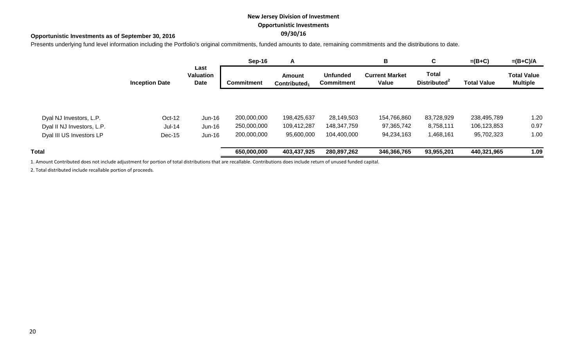# **New Jersey Division of Investment Opportunistic Investments**

# **09/30/16 Opportunistic Investments as of September 30, 2016**

Presents underlying fund level information including the Portfolio's original commitments, funded amounts to date, remaining commitments and the distributions to date.

|                            |                       |                                  | Sep-16            | A                                         |                                      | В                              | C                                        | $=(B+C)$           | $=(B+C)/A$                            |
|----------------------------|-----------------------|----------------------------------|-------------------|-------------------------------------------|--------------------------------------|--------------------------------|------------------------------------------|--------------------|---------------------------------------|
|                            | <b>Inception Date</b> | Last<br><b>Valuation</b><br>Date | <b>Commitment</b> | <b>Amount</b><br>Contributed <sub>1</sub> | <b>Unfunded</b><br><b>Commitment</b> | <b>Current Market</b><br>Value | <b>Total</b><br>Distributed <sup>2</sup> | <b>Total Value</b> | <b>Total Value</b><br><b>Multiple</b> |
|                            |                       |                                  |                   |                                           |                                      |                                |                                          |                    |                                       |
| Dyal NJ Investors, L.P.    | Oct-12                | $Jun-16$                         | 200,000,000       | 198,425,637                               | 28,149,503                           | 154,766,860                    | 83,728,929                               | 238,495,789        | 1.20                                  |
| Dyal II NJ Investors, L.P. | $Jul-14$              | Jun-16                           | 250,000,000       | 109,412,287                               | 148,347,759                          | 97,365,742                     | 8,758,111                                | 106,123,853        | 0.97                                  |
| Dyal III US Investors LP   | Dec-15                | Jun-16                           | 200,000,000       | 95,600,000                                | 104,400,000                          | 94,234,163                     | 1,468,161                                | 95,702,323         | 1.00                                  |
| Total                      |                       |                                  | 650,000,000       | 403,437,925                               | 280,897,262                          | 346,366,765                    | 93,955,201                               | 440,321,965        | 1.09                                  |
|                            |                       |                                  |                   |                                           |                                      |                                |                                          |                    |                                       |

1. Amount Contributed does not include adjustment for portion of total distributions that are recallable. Contributions does include return of unused funded capital.

2. Total distributed include recallable portion of proceeds.